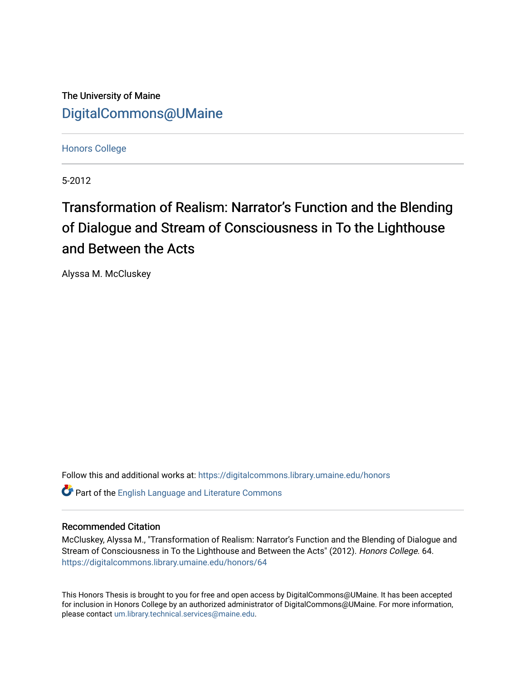The University of Maine [DigitalCommons@UMaine](https://digitalcommons.library.umaine.edu/)

[Honors College](https://digitalcommons.library.umaine.edu/honors)

5-2012

# Transformation of Realism: Narrator's Function and the Blending of Dialogue and Stream of Consciousness in To the Lighthouse and Between the Acts

Alyssa M. McCluskey

Follow this and additional works at: [https://digitalcommons.library.umaine.edu/honors](https://digitalcommons.library.umaine.edu/honors?utm_source=digitalcommons.library.umaine.edu%2Fhonors%2F64&utm_medium=PDF&utm_campaign=PDFCoverPages) 

Part of the [English Language and Literature Commons](http://network.bepress.com/hgg/discipline/455?utm_source=digitalcommons.library.umaine.edu%2Fhonors%2F64&utm_medium=PDF&utm_campaign=PDFCoverPages)

## Recommended Citation

McCluskey, Alyssa M., "Transformation of Realism: Narrator's Function and the Blending of Dialogue and Stream of Consciousness in To the Lighthouse and Between the Acts" (2012). Honors College. 64. [https://digitalcommons.library.umaine.edu/honors/64](https://digitalcommons.library.umaine.edu/honors/64?utm_source=digitalcommons.library.umaine.edu%2Fhonors%2F64&utm_medium=PDF&utm_campaign=PDFCoverPages) 

This Honors Thesis is brought to you for free and open access by DigitalCommons@UMaine. It has been accepted for inclusion in Honors College by an authorized administrator of DigitalCommons@UMaine. For more information, please contact [um.library.technical.services@maine.edu.](mailto:um.library.technical.services@maine.edu)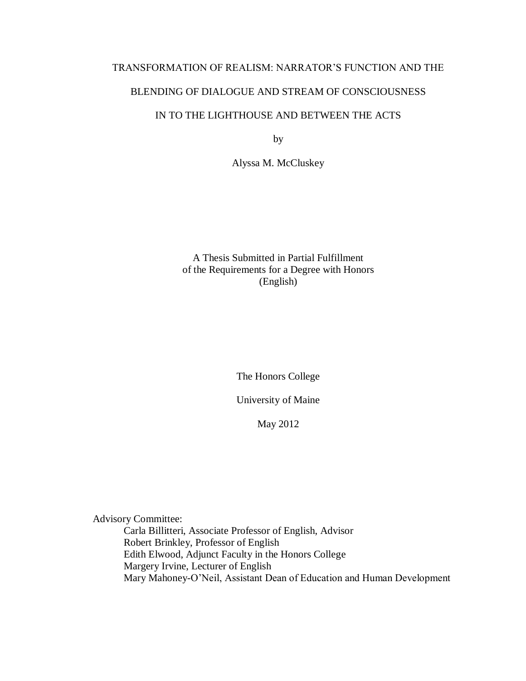## TRANSFORMATION OF REALISM: NARRATOR'S FUNCTION AND THE

## BLENDING OF DIALOGUE AND STREAM OF CONSCIOUSNESS

# IN TO THE LIGHTHOUSE AND BETWEEN THE ACTS

by

Alyssa M. McCluskey

## A Thesis Submitted in Partial Fulfillment of the Requirements for a Degree with Honors (English)

The Honors College

University of Maine

May 2012

Advisory Committee:

Carla Billitteri, Associate Professor of English, Advisor Robert Brinkley, Professor of English Edith Elwood, Adjunct Faculty in the Honors College Margery Irvine, Lecturer of English Mary Mahoney-O'Neil, Assistant Dean of Education and Human Development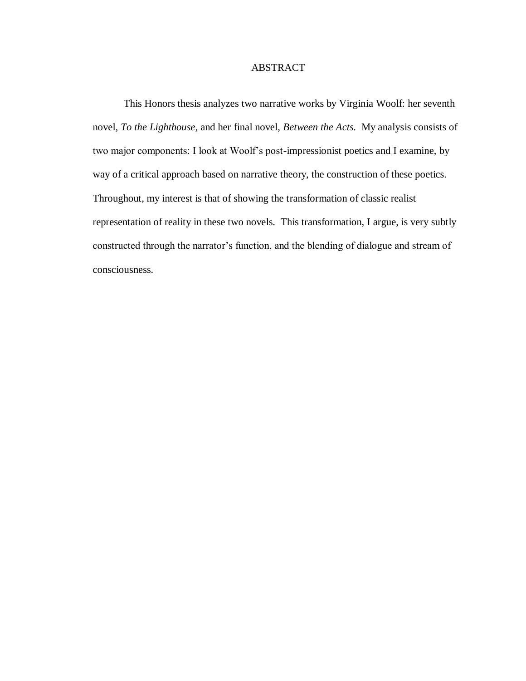## ABSTRACT

This Honors thesis analyzes two narrative works by Virginia Woolf: her seventh novel, *To the Lighthouse,* and her final novel, *Between the Acts.* My analysis consists of two major components: I look at Woolf's post-impressionist poetics and I examine, by way of a critical approach based on narrative theory, the construction of these poetics. Throughout, my interest is that of showing the transformation of classic realist representation of reality in these two novels. This transformation, I argue, is very subtly constructed through the narrator's function, and the blending of dialogue and stream of consciousness.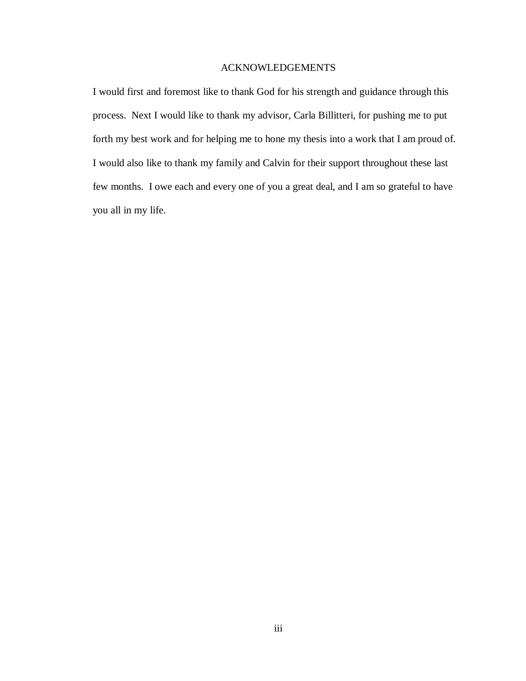## ACKNOWLEDGEMENTS

I would first and foremost like to thank God for his strength and guidance through this process. Next I would like to thank my advisor, Carla Billitteri, for pushing me to put forth my best work and for helping me to hone my thesis into a work that I am proud of. I would also like to thank my family and Calvin for their support throughout these last few months. I owe each and every one of you a great deal, and I am so grateful to have you all in my life.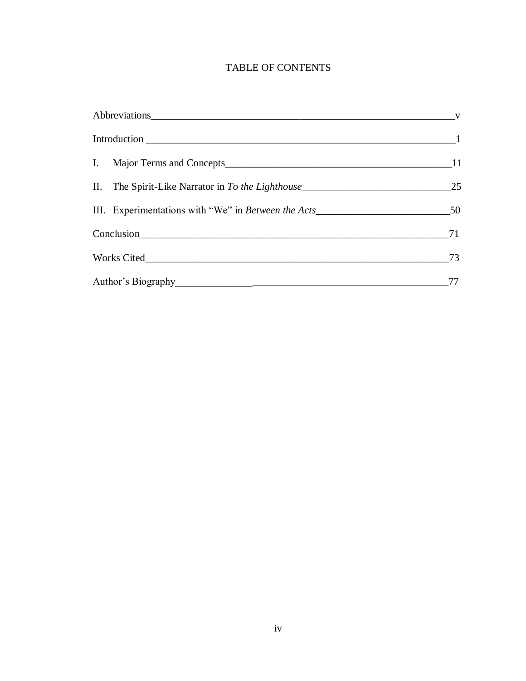# TABLE OF CONTENTS

| Introduction $\frac{1}{1}$                                                        |    |
|-----------------------------------------------------------------------------------|----|
|                                                                                   |    |
| II. The Spirit-Like Narrator in To the Lighthouse________________________________ | 25 |
| III. Experimentations with "We" in Between the Acts______________________________ | 50 |
| Conclusion<br><u>Conclusion</u>                                                   | 71 |
|                                                                                   | 73 |
|                                                                                   |    |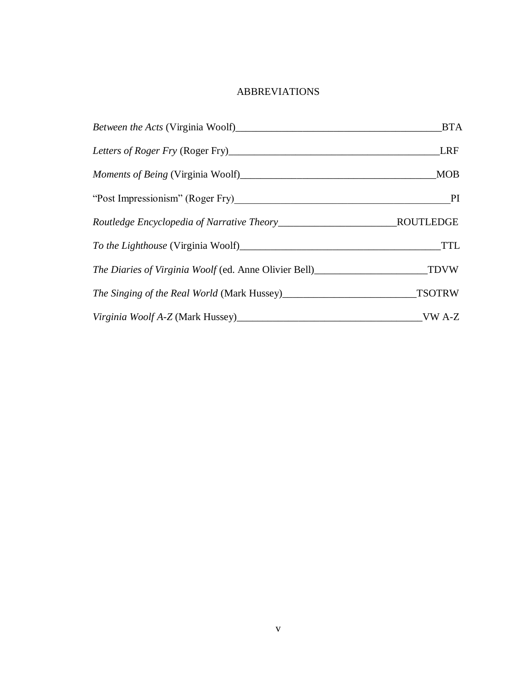# ABBREVIATIONS

|                                                                                   | <b>BTA</b>    |
|-----------------------------------------------------------------------------------|---------------|
|                                                                                   | <b>LRF</b>    |
|                                                                                   | <b>MOB</b>    |
| "Post Impressionism" (Roger Fry)                                                  | PI            |
|                                                                                   |               |
| To the Lighthouse (Virginia Woolf)                                                | <b>TTL</b>    |
| The Diaries of Virginia Woolf (ed. Anne Olivier Bell)____________________________ | <b>TDVW</b>   |
|                                                                                   | <b>TSOTRW</b> |
|                                                                                   | VW A-Z        |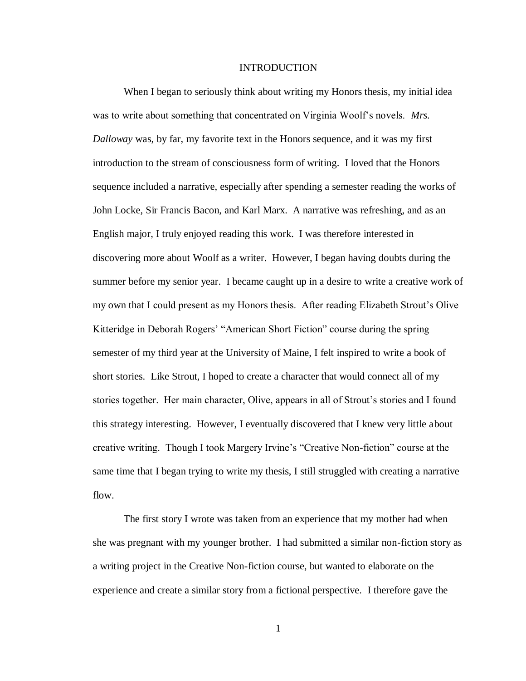#### INTRODUCTION

When I began to seriously think about writing my Honors thesis, my initial idea was to write about something that concentrated on Virginia Woolf's novels. *Mrs. Dalloway* was, by far, my favorite text in the Honors sequence, and it was my first introduction to the stream of consciousness form of writing. I loved that the Honors sequence included a narrative, especially after spending a semester reading the works of John Locke, Sir Francis Bacon, and Karl Marx. A narrative was refreshing, and as an English major, I truly enjoyed reading this work. I was therefore interested in discovering more about Woolf as a writer. However, I began having doubts during the summer before my senior year. I became caught up in a desire to write a creative work of my own that I could present as my Honors thesis. After reading Elizabeth Strout's Olive Kitteridge in Deborah Rogers' "American Short Fiction" course during the spring semester of my third year at the University of Maine, I felt inspired to write a book of short stories. Like Strout, I hoped to create a character that would connect all of my stories together. Her main character, Olive, appears in all of Strout's stories and I found this strategy interesting. However, I eventually discovered that I knew very little about creative writing. Though I took Margery Irvine's "Creative Non-fiction" course at the same time that I began trying to write my thesis, I still struggled with creating a narrative flow.

The first story I wrote was taken from an experience that my mother had when she was pregnant with my younger brother. I had submitted a similar non-fiction story as a writing project in the Creative Non-fiction course, but wanted to elaborate on the experience and create a similar story from a fictional perspective. I therefore gave the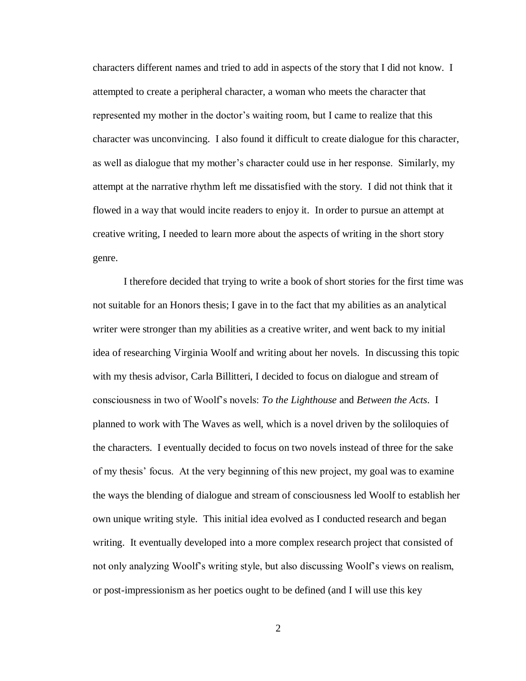characters different names and tried to add in aspects of the story that I did not know. I attempted to create a peripheral character, a woman who meets the character that represented my mother in the doctor's waiting room, but I came to realize that this character was unconvincing. I also found it difficult to create dialogue for this character, as well as dialogue that my mother's character could use in her response. Similarly, my attempt at the narrative rhythm left me dissatisfied with the story. I did not think that it flowed in a way that would incite readers to enjoy it. In order to pursue an attempt at creative writing, I needed to learn more about the aspects of writing in the short story genre.

I therefore decided that trying to write a book of short stories for the first time was not suitable for an Honors thesis; I gave in to the fact that my abilities as an analytical writer were stronger than my abilities as a creative writer, and went back to my initial idea of researching Virginia Woolf and writing about her novels. In discussing this topic with my thesis advisor, Carla Billitteri, I decided to focus on dialogue and stream of consciousness in two of Woolf's novels: *To the Lighthouse* and *Between the Acts*. I planned to work with The Waves as well, which is a novel driven by the soliloquies of the characters. I eventually decided to focus on two novels instead of three for the sake of my thesis' focus. At the very beginning of this new project, my goal was to examine the ways the blending of dialogue and stream of consciousness led Woolf to establish her own unique writing style. This initial idea evolved as I conducted research and began writing. It eventually developed into a more complex research project that consisted of not only analyzing Woolf's writing style, but also discussing Woolf's views on realism, or post-impressionism as her poetics ought to be defined (and I will use this key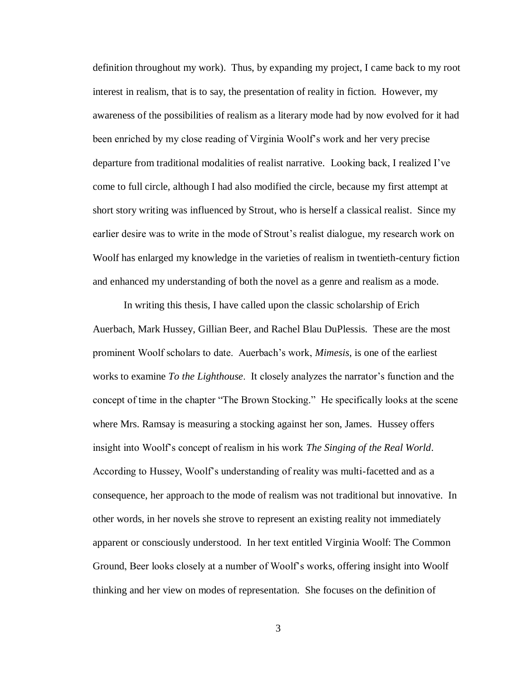definition throughout my work). Thus, by expanding my project, I came back to my root interest in realism, that is to say, the presentation of reality in fiction. However, my awareness of the possibilities of realism as a literary mode had by now evolved for it had been enriched by my close reading of Virginia Woolf's work and her very precise departure from traditional modalities of realist narrative. Looking back, I realized I've come to full circle, although I had also modified the circle, because my first attempt at short story writing was influenced by Strout, who is herself a classical realist. Since my earlier desire was to write in the mode of Strout's realist dialogue, my research work on Woolf has enlarged my knowledge in the varieties of realism in twentieth-century fiction and enhanced my understanding of both the novel as a genre and realism as a mode.

In writing this thesis, I have called upon the classic scholarship of Erich Auerbach, Mark Hussey, Gillian Beer, and Rachel Blau DuPlessis. These are the most prominent Woolf scholars to date. Auerbach's work, *Mimesis*, is one of the earliest works to examine *To the Lighthouse*. It closely analyzes the narrator's function and the concept of time in the chapter "The Brown Stocking." He specifically looks at the scene where Mrs. Ramsay is measuring a stocking against her son, James. Hussey offers insight into Woolf's concept of realism in his work *The Singing of the Real World*. According to Hussey, Woolf's understanding of reality was multi-facetted and as a consequence, her approach to the mode of realism was not traditional but innovative. In other words, in her novels she strove to represent an existing reality not immediately apparent or consciously understood. In her text entitled Virginia Woolf: The Common Ground, Beer looks closely at a number of Woolf's works, offering insight into Woolf thinking and her view on modes of representation. She focuses on the definition of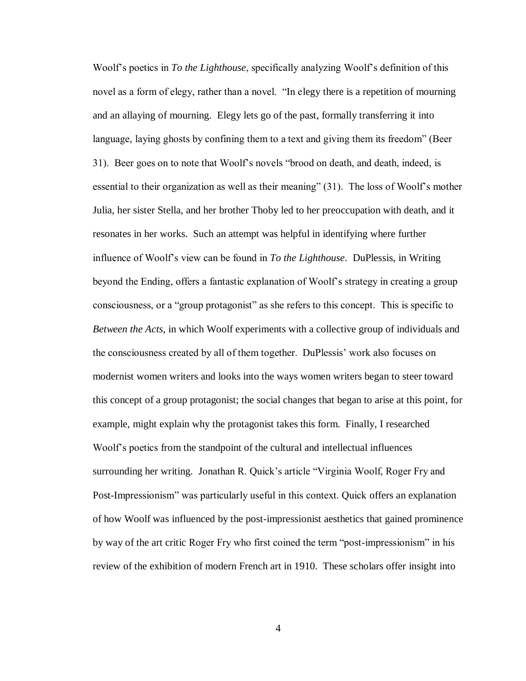Woolf's poetics in *To the Lighthouse*, specifically analyzing Woolf's definition of this novel as a form of elegy, rather than a novel. "In elegy there is a repetition of mourning and an allaying of mourning. Elegy lets go of the past, formally transferring it into language, laying ghosts by confining them to a text and giving them its freedom" (Beer 31). Beer goes on to note that Woolf's novels "brood on death, and death, indeed, is essential to their organization as well as their meaning" (31). The loss of Woolf's mother Julia, her sister Stella, and her brother Thoby led to her preoccupation with death, and it resonates in her works. Such an attempt was helpful in identifying where further influence of Woolf's view can be found in *To the Lighthouse*. DuPlessis, in Writing beyond the Ending, offers a fantastic explanation of Woolf's strategy in creating a group consciousness, or a "group protagonist" as she refers to this concept. This is specific to *Between the Acts*, in which Woolf experiments with a collective group of individuals and the consciousness created by all of them together. DuPlessis' work also focuses on modernist women writers and looks into the ways women writers began to steer toward this concept of a group protagonist; the social changes that began to arise at this point, for example, might explain why the protagonist takes this form. Finally, I researched Woolf's poetics from the standpoint of the cultural and intellectual influences surrounding her writing. Jonathan R. Quick's article "Virginia Woolf, Roger Fry and Post-Impressionism" was particularly useful in this context. Quick offers an explanation of how Woolf was influenced by the post-impressionist aesthetics that gained prominence by way of the art critic Roger Fry who first coined the term "post-impressionism" in his review of the exhibition of modern French art in 1910. These scholars offer insight into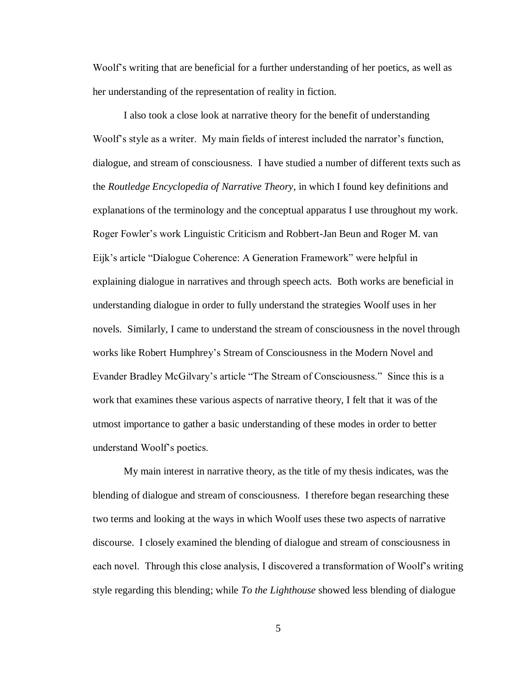Woolf's writing that are beneficial for a further understanding of her poetics, as well as her understanding of the representation of reality in fiction.

I also took a close look at narrative theory for the benefit of understanding Woolf's style as a writer. My main fields of interest included the narrator's function, dialogue, and stream of consciousness. I have studied a number of different texts such as the *Routledge Encyclopedia of Narrative Theory*, in which I found key definitions and explanations of the terminology and the conceptual apparatus I use throughout my work. Roger Fowler's work Linguistic Criticism and Robbert-Jan Beun and Roger M. van Eijk's article "Dialogue Coherence: A Generation Framework" were helpful in explaining dialogue in narratives and through speech acts. Both works are beneficial in understanding dialogue in order to fully understand the strategies Woolf uses in her novels. Similarly, I came to understand the stream of consciousness in the novel through works like Robert Humphrey's Stream of Consciousness in the Modern Novel and Evander Bradley McGilvary's article "The Stream of Consciousness." Since this is a work that examines these various aspects of narrative theory, I felt that it was of the utmost importance to gather a basic understanding of these modes in order to better understand Woolf's poetics.

My main interest in narrative theory, as the title of my thesis indicates, was the blending of dialogue and stream of consciousness. I therefore began researching these two terms and looking at the ways in which Woolf uses these two aspects of narrative discourse. I closely examined the blending of dialogue and stream of consciousness in each novel. Through this close analysis, I discovered a transformation of Woolf's writing style regarding this blending; while *To the Lighthouse* showed less blending of dialogue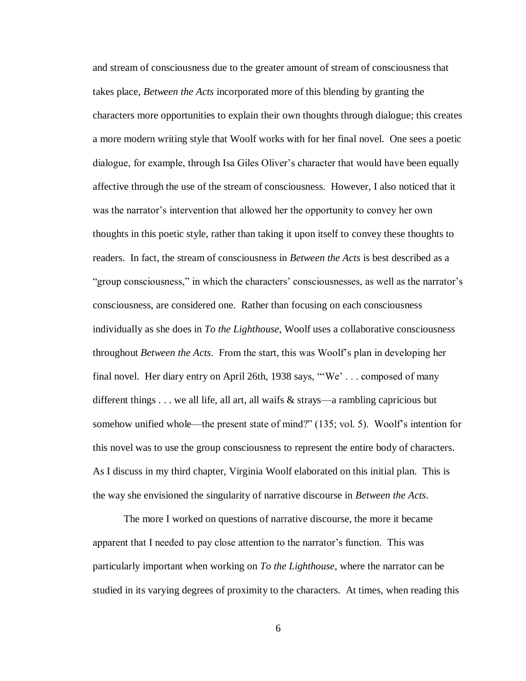and stream of consciousness due to the greater amount of stream of consciousness that takes place, *Between the Acts* incorporated more of this blending by granting the characters more opportunities to explain their own thoughts through dialogue; this creates a more modern writing style that Woolf works with for her final novel. One sees a poetic dialogue, for example, through Isa Giles Oliver's character that would have been equally affective through the use of the stream of consciousness. However, I also noticed that it was the narrator's intervention that allowed her the opportunity to convey her own thoughts in this poetic style, rather than taking it upon itself to convey these thoughts to readers. In fact, the stream of consciousness in *Between the Acts* is best described as a "group consciousness," in which the characters' consciousnesses, as well as the narrator's consciousness, are considered one. Rather than focusing on each consciousness individually as she does in *To the Lighthouse*, Woolf uses a collaborative consciousness throughout *Between the Acts*. From the start, this was Woolf's plan in developing her final novel. Her diary entry on April 26th, 1938 says, "'We' . . . composed of many different things  $\dots$  we all life, all art, all waifs & strays—a rambling capricious but somehow unified whole—the present state of mind?" (135; vol. 5). Woolf's intention for this novel was to use the group consciousness to represent the entire body of characters. As I discuss in my third chapter, Virginia Woolf elaborated on this initial plan. This is the way she envisioned the singularity of narrative discourse in *Between the Acts*.

The more I worked on questions of narrative discourse, the more it became apparent that I needed to pay close attention to the narrator's function. This was particularly important when working on *To the Lighthouse*, where the narrator can be studied in its varying degrees of proximity to the characters. At times, when reading this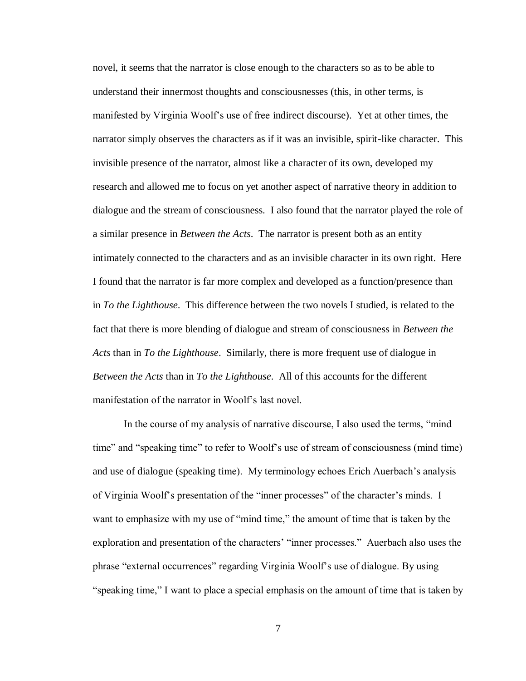novel, it seems that the narrator is close enough to the characters so as to be able to understand their innermost thoughts and consciousnesses (this, in other terms, is manifested by Virginia Woolf's use of free indirect discourse). Yet at other times, the narrator simply observes the characters as if it was an invisible, spirit-like character. This invisible presence of the narrator, almost like a character of its own, developed my research and allowed me to focus on yet another aspect of narrative theory in addition to dialogue and the stream of consciousness. I also found that the narrator played the role of a similar presence in *Between the Acts*. The narrator is present both as an entity intimately connected to the characters and as an invisible character in its own right. Here I found that the narrator is far more complex and developed as a function/presence than in *To the Lighthouse*. This difference between the two novels I studied, is related to the fact that there is more blending of dialogue and stream of consciousness in *Between the Acts* than in *To the Lighthouse*. Similarly, there is more frequent use of dialogue in *Between the Acts* than in *To the Lighthouse*. All of this accounts for the different manifestation of the narrator in Woolf's last novel.

In the course of my analysis of narrative discourse, I also used the terms, "mind time" and "speaking time" to refer to Woolf's use of stream of consciousness (mind time) and use of dialogue (speaking time). My terminology echoes Erich Auerbach's analysis of Virginia Woolf's presentation of the "inner processes" of the character's minds. I want to emphasize with my use of "mind time," the amount of time that is taken by the exploration and presentation of the characters' "inner processes." Auerbach also uses the phrase "external occurrences" regarding Virginia Woolf's use of dialogue. By using "speaking time," I want to place a special emphasis on the amount of time that is taken by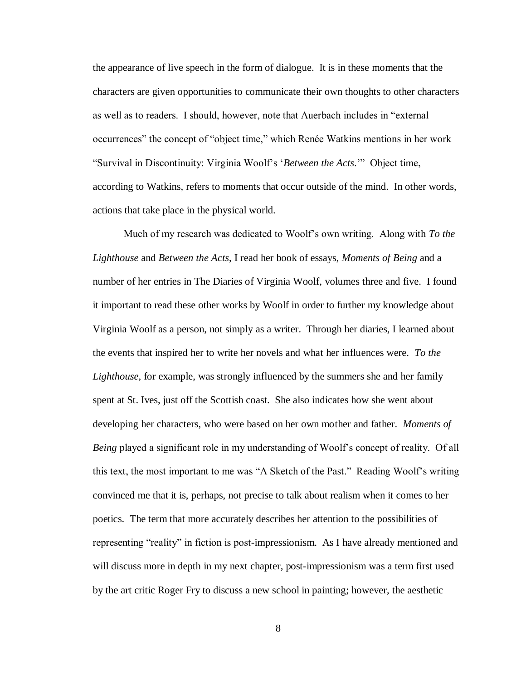the appearance of live speech in the form of dialogue. It is in these moments that the characters are given opportunities to communicate their own thoughts to other characters as well as to readers. I should, however, note that Auerbach includes in "external occurrences" the concept of "object time," which Renée Watkins mentions in her work "Survival in Discontinuity: Virginia Woolf's '*Between the Acts*.'" Object time, according to Watkins, refers to moments that occur outside of the mind. In other words, actions that take place in the physical world.

Much of my research was dedicated to Woolf's own writing. Along with *To the Lighthouse* and *Between the Acts*, I read her book of essays, *Moments of Being* and a number of her entries in The Diaries of Virginia Woolf*,* volumes three and five. I found it important to read these other works by Woolf in order to further my knowledge about Virginia Woolf as a person, not simply as a writer. Through her diaries, I learned about the events that inspired her to write her novels and what her influences were. *To the Lighthouse*, for example, was strongly influenced by the summers she and her family spent at St. Ives, just off the Scottish coast. She also indicates how she went about developing her characters, who were based on her own mother and father. *Moments of Being* played a significant role in my understanding of Woolf's concept of reality. Of all this text, the most important to me was "A Sketch of the Past." Reading Woolf's writing convinced me that it is, perhaps, not precise to talk about realism when it comes to her poetics. The term that more accurately describes her attention to the possibilities of representing "reality" in fiction is post-impressionism. As I have already mentioned and will discuss more in depth in my next chapter, post-impressionism was a term first used by the art critic Roger Fry to discuss a new school in painting; however, the aesthetic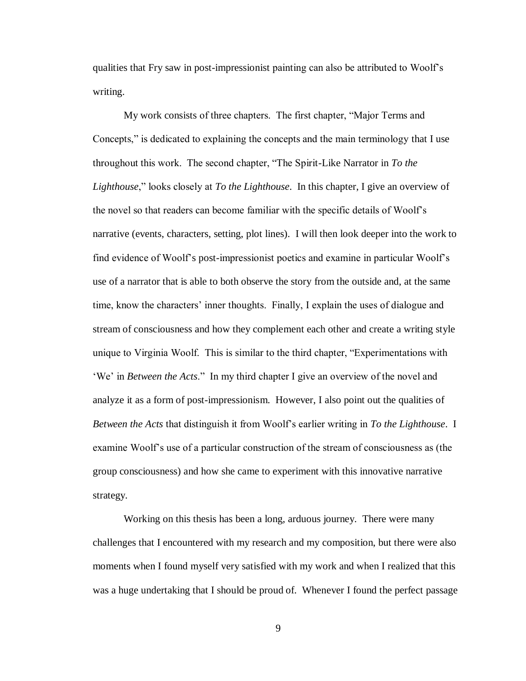qualities that Fry saw in post-impressionist painting can also be attributed to Woolf's writing.

My work consists of three chapters. The first chapter, "Major Terms and Concepts," is dedicated to explaining the concepts and the main terminology that I use throughout this work. The second chapter, "The Spirit-Like Narrator in *To the Lighthouse*," looks closely at *To the Lighthouse*. In this chapter, I give an overview of the novel so that readers can become familiar with the specific details of Woolf's narrative (events, characters, setting, plot lines). I will then look deeper into the work to find evidence of Woolf's post-impressionist poetics and examine in particular Woolf's use of a narrator that is able to both observe the story from the outside and, at the same time, know the characters' inner thoughts. Finally, I explain the uses of dialogue and stream of consciousness and how they complement each other and create a writing style unique to Virginia Woolf. This is similar to the third chapter, "Experimentations with 'We' in *Between the Acts*." In my third chapter I give an overview of the novel and analyze it as a form of post-impressionism. However, I also point out the qualities of *Between the Acts* that distinguish it from Woolf's earlier writing in *To the Lighthouse*. I examine Woolf's use of a particular construction of the stream of consciousness as (the group consciousness) and how she came to experiment with this innovative narrative strategy.

Working on this thesis has been a long, arduous journey. There were many challenges that I encountered with my research and my composition, but there were also moments when I found myself very satisfied with my work and when I realized that this was a huge undertaking that I should be proud of. Whenever I found the perfect passage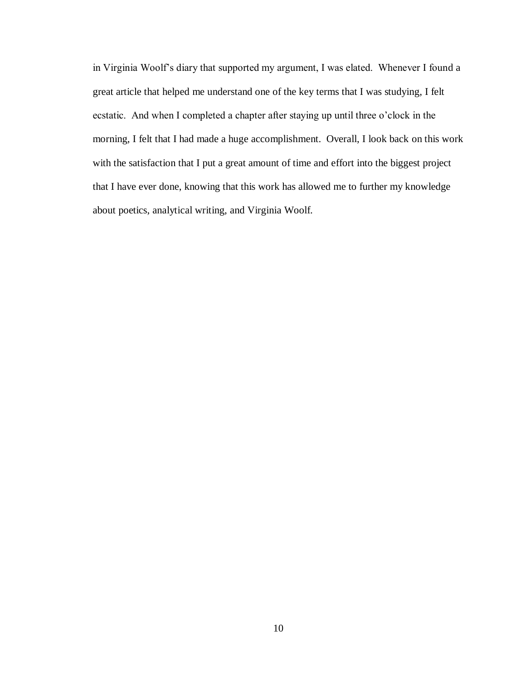in Virginia Woolf's diary that supported my argument, I was elated. Whenever I found a great article that helped me understand one of the key terms that I was studying, I felt ecstatic. And when I completed a chapter after staying up until three o'clock in the morning, I felt that I had made a huge accomplishment. Overall, I look back on this work with the satisfaction that I put a great amount of time and effort into the biggest project that I have ever done, knowing that this work has allowed me to further my knowledge about poetics, analytical writing, and Virginia Woolf.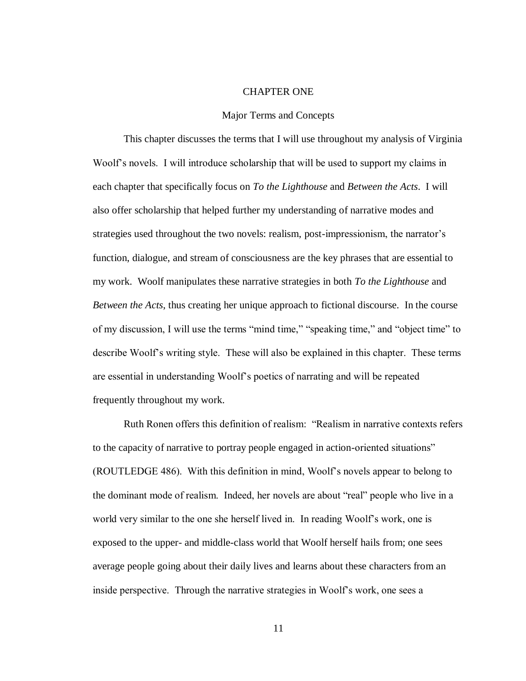## CHAPTER ONE

## Major Terms and Concepts

This chapter discusses the terms that I will use throughout my analysis of Virginia Woolf's novels. I will introduce scholarship that will be used to support my claims in each chapter that specifically focus on *To the Lighthouse* and *Between the Acts*. I will also offer scholarship that helped further my understanding of narrative modes and strategies used throughout the two novels: realism, post-impressionism, the narrator's function, dialogue, and stream of consciousness are the key phrases that are essential to my work. Woolf manipulates these narrative strategies in both *To the Lighthouse* and *Between the Acts*, thus creating her unique approach to fictional discourse. In the course of my discussion, I will use the terms "mind time," "speaking time," and "object time" to describe Woolf's writing style. These will also be explained in this chapter. These terms are essential in understanding Woolf's poetics of narrating and will be repeated frequently throughout my work.

Ruth Ronen offers this definition of realism: "Realism in narrative contexts refers to the capacity of narrative to portray people engaged in action-oriented situations" (ROUTLEDGE 486). With this definition in mind, Woolf's novels appear to belong to the dominant mode of realism. Indeed, her novels are about "real" people who live in a world very similar to the one she herself lived in. In reading Woolf's work, one is exposed to the upper- and middle-class world that Woolf herself hails from; one sees average people going about their daily lives and learns about these characters from an inside perspective. Through the narrative strategies in Woolf's work, one sees a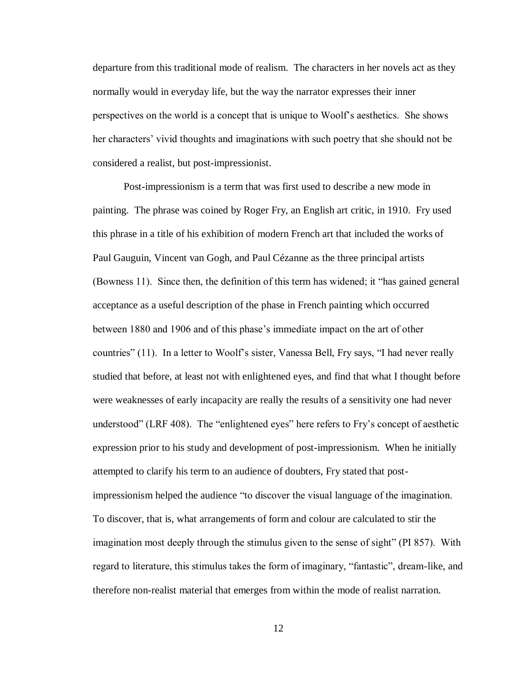departure from this traditional mode of realism. The characters in her novels act as they normally would in everyday life, but the way the narrator expresses their inner perspectives on the world is a concept that is unique to Woolf's aesthetics. She shows her characters' vivid thoughts and imaginations with such poetry that she should not be considered a realist, but post-impressionist.

Post-impressionism is a term that was first used to describe a new mode in painting. The phrase was coined by Roger Fry, an English art critic, in 1910. Fry used this phrase in a title of his exhibition of modern French art that included the works of Paul Gauguin, Vincent van Gogh, and Paul Cézanne as the three principal artists (Bowness 11). Since then, the definition of this term has widened; it "has gained general acceptance as a useful description of the phase in French painting which occurred between 1880 and 1906 and of this phase's immediate impact on the art of other countries" (11). In a letter to Woolf's sister, Vanessa Bell, Fry says, "I had never really studied that before, at least not with enlightened eyes, and find that what I thought before were weaknesses of early incapacity are really the results of a sensitivity one had never understood" (LRF 408). The "enlightened eyes" here refers to Fry's concept of aesthetic expression prior to his study and development of post-impressionism. When he initially attempted to clarify his term to an audience of doubters, Fry stated that postimpressionism helped the audience "to discover the visual language of the imagination. To discover, that is, what arrangements of form and colour are calculated to stir the imagination most deeply through the stimulus given to the sense of sight" (PI 857). With regard to literature, this stimulus takes the form of imaginary, "fantastic", dream-like, and therefore non-realist material that emerges from within the mode of realist narration.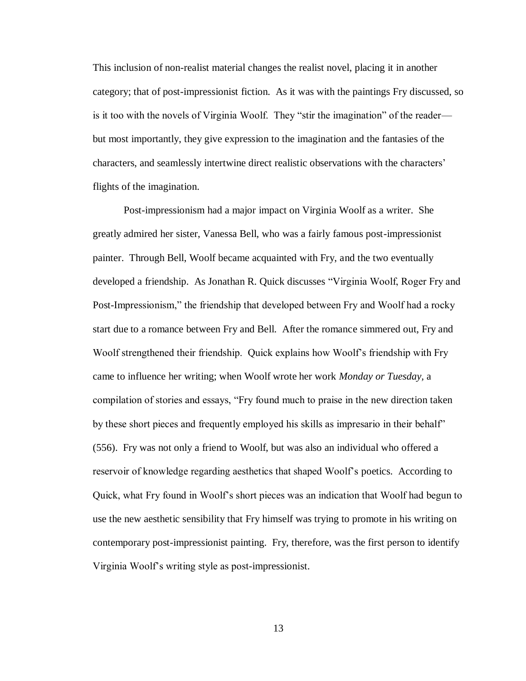This inclusion of non-realist material changes the realist novel, placing it in another category; that of post-impressionist fiction. As it was with the paintings Fry discussed, so is it too with the novels of Virginia Woolf. They "stir the imagination" of the reader but most importantly, they give expression to the imagination and the fantasies of the characters, and seamlessly intertwine direct realistic observations with the characters' flights of the imagination.

Post-impressionism had a major impact on Virginia Woolf as a writer. She greatly admired her sister, Vanessa Bell, who was a fairly famous post-impressionist painter. Through Bell, Woolf became acquainted with Fry, and the two eventually developed a friendship. As Jonathan R. Quick discusses "Virginia Woolf, Roger Fry and Post-Impressionism," the friendship that developed between Fry and Woolf had a rocky start due to a romance between Fry and Bell. After the romance simmered out, Fry and Woolf strengthened their friendship. Quick explains how Woolf's friendship with Fry came to influence her writing; when Woolf wrote her work *Monday or Tuesday,* a compilation of stories and essays, "Fry found much to praise in the new direction taken by these short pieces and frequently employed his skills as impresario in their behalf" (556). Fry was not only a friend to Woolf, but was also an individual who offered a reservoir of knowledge regarding aesthetics that shaped Woolf's poetics. According to Quick, what Fry found in Woolf's short pieces was an indication that Woolf had begun to use the new aesthetic sensibility that Fry himself was trying to promote in his writing on contemporary post-impressionist painting. Fry, therefore, was the first person to identify Virginia Woolf's writing style as post-impressionist.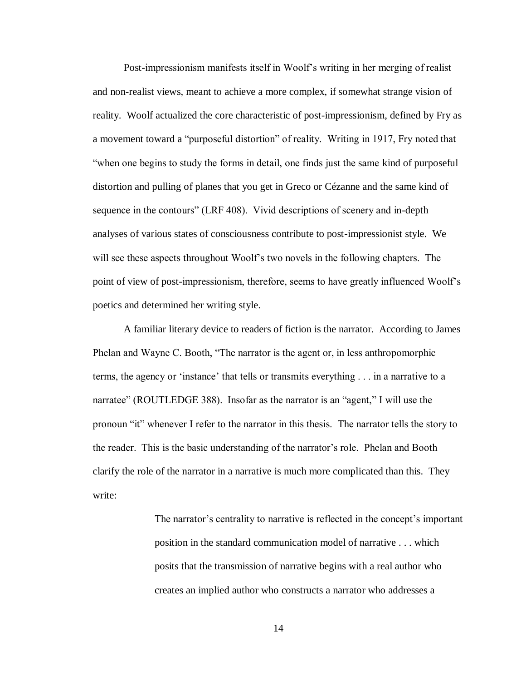Post-impressionism manifests itself in Woolf's writing in her merging of realist and non-realist views, meant to achieve a more complex, if somewhat strange vision of reality. Woolf actualized the core characteristic of post-impressionism, defined by Fry as a movement toward a "purposeful distortion" of reality. Writing in 1917, Fry noted that "when one begins to study the forms in detail, one finds just the same kind of purposeful distortion and pulling of planes that you get in Greco or Cézanne and the same kind of sequence in the contours" (LRF 408). Vivid descriptions of scenery and in-depth analyses of various states of consciousness contribute to post-impressionist style. We will see these aspects throughout Woolf's two novels in the following chapters. The point of view of post-impressionism, therefore, seems to have greatly influenced Woolf's poetics and determined her writing style.

A familiar literary device to readers of fiction is the narrator. According to James Phelan and Wayne C. Booth, "The narrator is the agent or, in less anthropomorphic terms, the agency or 'instance' that tells or transmits everything . . . in a narrative to a narratee" (ROUTLEDGE 388). Insofar as the narrator is an "agent," I will use the pronoun "it" whenever I refer to the narrator in this thesis. The narrator tells the story to the reader. This is the basic understanding of the narrator's role. Phelan and Booth clarify the role of the narrator in a narrative is much more complicated than this. They write:

> The narrator's centrality to narrative is reflected in the concept's important position in the standard communication model of narrative . . . which posits that the transmission of narrative begins with a real author who creates an implied author who constructs a narrator who addresses a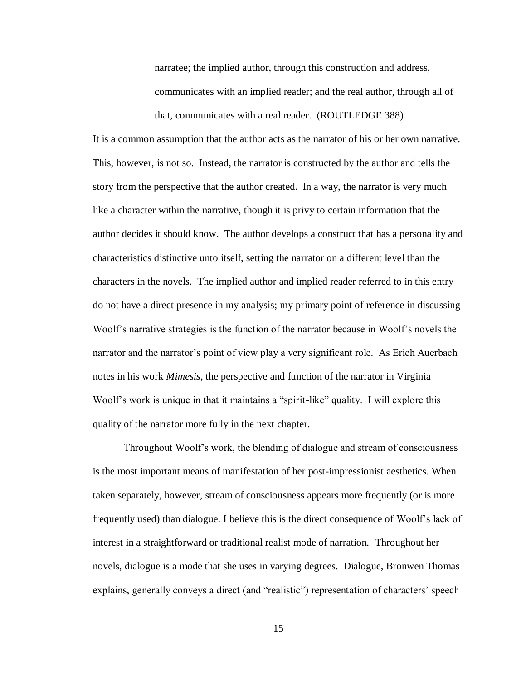narratee; the implied author, through this construction and address, communicates with an implied reader; and the real author, through all of that, communicates with a real reader. (ROUTLEDGE 388)

It is a common assumption that the author acts as the narrator of his or her own narrative. This, however, is not so. Instead, the narrator is constructed by the author and tells the story from the perspective that the author created. In a way, the narrator is very much like a character within the narrative, though it is privy to certain information that the author decides it should know. The author develops a construct that has a personality and characteristics distinctive unto itself, setting the narrator on a different level than the characters in the novels. The implied author and implied reader referred to in this entry do not have a direct presence in my analysis; my primary point of reference in discussing Woolf's narrative strategies is the function of the narrator because in Woolf's novels the narrator and the narrator's point of view play a very significant role. As Erich Auerbach notes in his work *Mimesis*, the perspective and function of the narrator in Virginia Woolf's work is unique in that it maintains a "spirit-like" quality. I will explore this quality of the narrator more fully in the next chapter.

Throughout Woolf's work, the blending of dialogue and stream of consciousness is the most important means of manifestation of her post-impressionist aesthetics. When taken separately, however, stream of consciousness appears more frequently (or is more frequently used) than dialogue. I believe this is the direct consequence of Woolf's lack of interest in a straightforward or traditional realist mode of narration. Throughout her novels, dialogue is a mode that she uses in varying degrees. Dialogue, Bronwen Thomas explains, generally conveys a direct (and "realistic") representation of characters' speech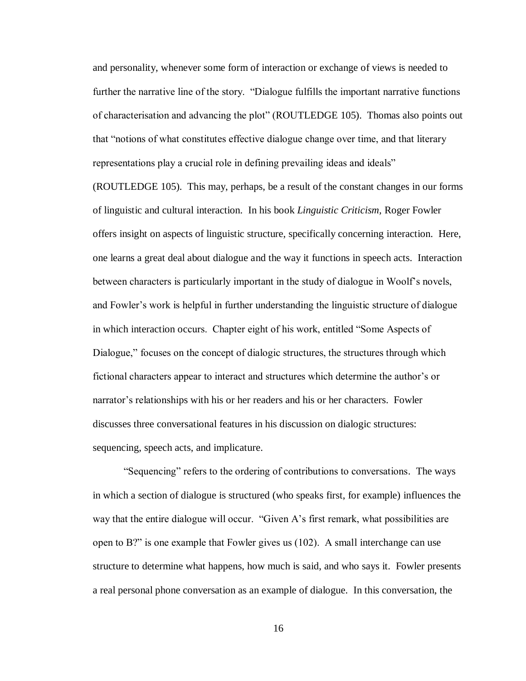and personality, whenever some form of interaction or exchange of views is needed to further the narrative line of the story. "Dialogue fulfills the important narrative functions of characterisation and advancing the plot" (ROUTLEDGE 105). Thomas also points out that "notions of what constitutes effective dialogue change over time, and that literary representations play a crucial role in defining prevailing ideas and ideals"

(ROUTLEDGE 105). This may, perhaps, be a result of the constant changes in our forms of linguistic and cultural interaction. In his book *Linguistic Criticism,* Roger Fowler offers insight on aspects of linguistic structure, specifically concerning interaction. Here, one learns a great deal about dialogue and the way it functions in speech acts. Interaction between characters is particularly important in the study of dialogue in Woolf's novels, and Fowler's work is helpful in further understanding the linguistic structure of dialogue in which interaction occurs. Chapter eight of his work, entitled "Some Aspects of Dialogue," focuses on the concept of dialogic structures, the structures through which fictional characters appear to interact and structures which determine the author's or narrator's relationships with his or her readers and his or her characters. Fowler discusses three conversational features in his discussion on dialogic structures: sequencing, speech acts, and implicature.

"Sequencing" refers to the ordering of contributions to conversations. The ways in which a section of dialogue is structured (who speaks first, for example) influences the way that the entire dialogue will occur. "Given A's first remark, what possibilities are open to B?" is one example that Fowler gives us (102). A small interchange can use structure to determine what happens, how much is said, and who says it. Fowler presents a real personal phone conversation as an example of dialogue. In this conversation, the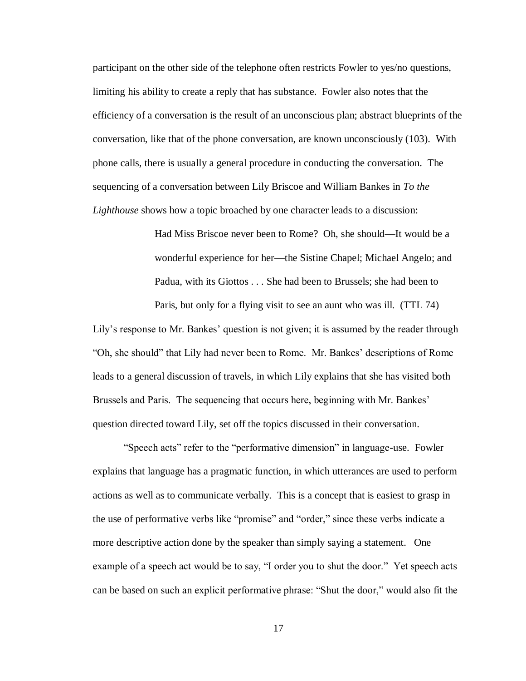participant on the other side of the telephone often restricts Fowler to yes/no questions, limiting his ability to create a reply that has substance. Fowler also notes that the efficiency of a conversation is the result of an unconscious plan; abstract blueprints of the conversation, like that of the phone conversation, are known unconsciously (103). With phone calls, there is usually a general procedure in conducting the conversation. The sequencing of a conversation between Lily Briscoe and William Bankes in *To the Lighthouse* shows how a topic broached by one character leads to a discussion:

> Had Miss Briscoe never been to Rome? Oh, she should—It would be a wonderful experience for her—the Sistine Chapel; Michael Angelo; and Padua, with its Giottos . . . She had been to Brussels; she had been to Paris, but only for a flying visit to see an aunt who was ill. (TTL 74)

Lily's response to Mr. Bankes' question is not given; it is assumed by the reader through "Oh, she should" that Lily had never been to Rome. Mr. Bankes' descriptions of Rome leads to a general discussion of travels, in which Lily explains that she has visited both Brussels and Paris. The sequencing that occurs here, beginning with Mr. Bankes' question directed toward Lily, set off the topics discussed in their conversation.

"Speech acts" refer to the "performative dimension" in language-use. Fowler explains that language has a pragmatic function, in which utterances are used to perform actions as well as to communicate verbally. This is a concept that is easiest to grasp in the use of performative verbs like "promise" and "order," since these verbs indicate a more descriptive action done by the speaker than simply saying a statement. One example of a speech act would be to say, "I order you to shut the door." Yet speech acts can be based on such an explicit performative phrase: "Shut the door," would also fit the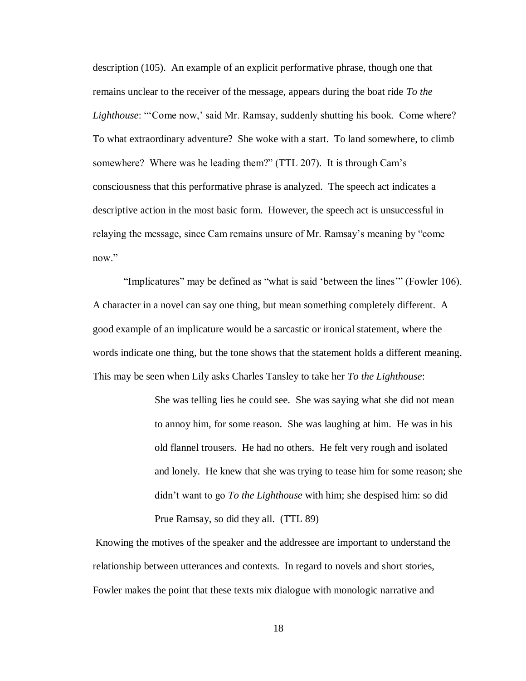description (105). An example of an explicit performative phrase, though one that remains unclear to the receiver of the message, appears during the boat ride *To the Lighthouse*: "'Come now,' said Mr. Ramsay, suddenly shutting his book. Come where? To what extraordinary adventure? She woke with a start. To land somewhere, to climb somewhere? Where was he leading them?" (TTL 207). It is through Cam's consciousness that this performative phrase is analyzed. The speech act indicates a descriptive action in the most basic form. However, the speech act is unsuccessful in relaying the message, since Cam remains unsure of Mr. Ramsay's meaning by "come now"

"Implicatures" may be defined as "what is said 'between the lines'" (Fowler 106). A character in a novel can say one thing, but mean something completely different. A good example of an implicature would be a sarcastic or ironical statement, where the words indicate one thing, but the tone shows that the statement holds a different meaning. This may be seen when Lily asks Charles Tansley to take her *To the Lighthouse*:

> She was telling lies he could see. She was saying what she did not mean to annoy him, for some reason. She was laughing at him. He was in his old flannel trousers. He had no others. He felt very rough and isolated and lonely. He knew that she was trying to tease him for some reason; she didn't want to go *To the Lighthouse* with him; she despised him: so did Prue Ramsay, so did they all. (TTL 89)

Knowing the motives of the speaker and the addressee are important to understand the relationship between utterances and contexts. In regard to novels and short stories, Fowler makes the point that these texts mix dialogue with monologic narrative and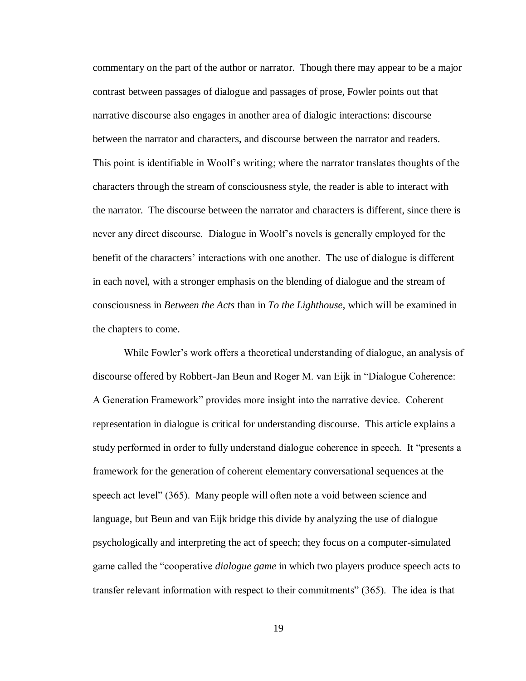commentary on the part of the author or narrator. Though there may appear to be a major contrast between passages of dialogue and passages of prose, Fowler points out that narrative discourse also engages in another area of dialogic interactions: discourse between the narrator and characters, and discourse between the narrator and readers. This point is identifiable in Woolf's writing; where the narrator translates thoughts of the characters through the stream of consciousness style, the reader is able to interact with the narrator. The discourse between the narrator and characters is different, since there is never any direct discourse. Dialogue in Woolf's novels is generally employed for the benefit of the characters' interactions with one another. The use of dialogue is different in each novel, with a stronger emphasis on the blending of dialogue and the stream of consciousness in *Between the Acts* than in *To the Lighthouse*, which will be examined in the chapters to come.

While Fowler's work offers a theoretical understanding of dialogue, an analysis of discourse offered by Robbert-Jan Beun and Roger M. van Eijk in "Dialogue Coherence: A Generation Framework" provides more insight into the narrative device. Coherent representation in dialogue is critical for understanding discourse. This article explains a study performed in order to fully understand dialogue coherence in speech. It "presents a framework for the generation of coherent elementary conversational sequences at the speech act level" (365). Many people will often note a void between science and language, but Beun and van Eijk bridge this divide by analyzing the use of dialogue psychologically and interpreting the act of speech; they focus on a computer-simulated game called the "cooperative *dialogue game* in which two players produce speech acts to transfer relevant information with respect to their commitments" (365). The idea is that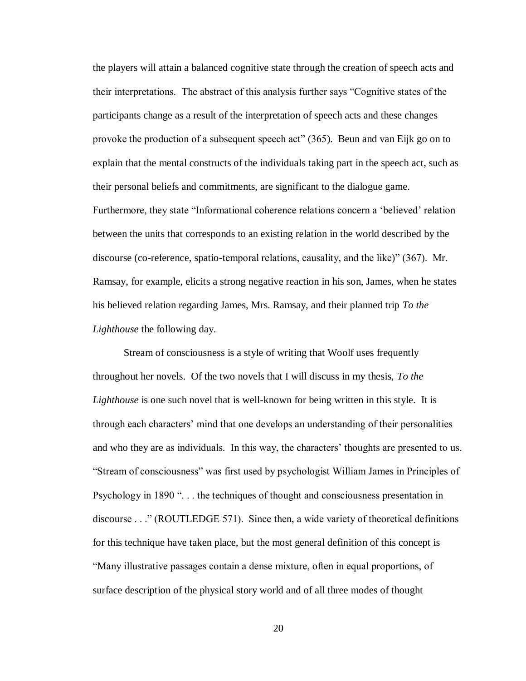the players will attain a balanced cognitive state through the creation of speech acts and their interpretations. The abstract of this analysis further says "Cognitive states of the participants change as a result of the interpretation of speech acts and these changes provoke the production of a subsequent speech act" (365). Beun and van Eijk go on to explain that the mental constructs of the individuals taking part in the speech act, such as their personal beliefs and commitments, are significant to the dialogue game. Furthermore, they state "Informational coherence relations concern a 'believed' relation between the units that corresponds to an existing relation in the world described by the discourse (co-reference, spatio-temporal relations, causality, and the like)" (367). Mr. Ramsay, for example, elicits a strong negative reaction in his son, James, when he states his believed relation regarding James, Mrs. Ramsay, and their planned trip *To the Lighthouse* the following day.

Stream of consciousness is a style of writing that Woolf uses frequently throughout her novels. Of the two novels that I will discuss in my thesis, *To the Lighthouse* is one such novel that is well-known for being written in this style. It is through each characters' mind that one develops an understanding of their personalities and who they are as individuals. In this way, the characters' thoughts are presented to us. "Stream of consciousness" was first used by psychologist William James in Principles of Psychology in 1890 ". . . the techniques of thought and consciousness presentation in discourse . . ." (ROUTLEDGE 571). Since then, a wide variety of theoretical definitions for this technique have taken place, but the most general definition of this concept is "Many illustrative passages contain a dense mixture, often in equal proportions, of surface description of the physical story world and of all three modes of thought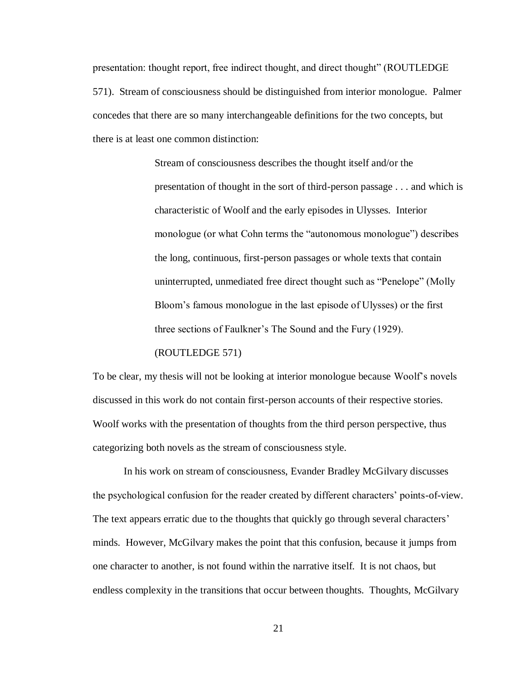presentation: thought report, free indirect thought, and direct thought" (ROUTLEDGE 571). Stream of consciousness should be distinguished from interior monologue. Palmer concedes that there are so many interchangeable definitions for the two concepts, but there is at least one common distinction:

> Stream of consciousness describes the thought itself and/or the presentation of thought in the sort of third-person passage . . . and which is characteristic of Woolf and the early episodes in Ulysses. Interior monologue (or what Cohn terms the "autonomous monologue") describes the long, continuous, first-person passages or whole texts that contain uninterrupted, unmediated free direct thought such as "Penelope" (Molly Bloom's famous monologue in the last episode of Ulysses) or the first three sections of Faulkner's The Sound and the Fury (1929).

#### (ROUTLEDGE 571)

To be clear, my thesis will not be looking at interior monologue because Woolf's novels discussed in this work do not contain first-person accounts of their respective stories. Woolf works with the presentation of thoughts from the third person perspective, thus categorizing both novels as the stream of consciousness style.

In his work on stream of consciousness, Evander Bradley McGilvary discusses the psychological confusion for the reader created by different characters' points-of-view. The text appears erratic due to the thoughts that quickly go through several characters' minds. However, McGilvary makes the point that this confusion, because it jumps from one character to another, is not found within the narrative itself. It is not chaos, but endless complexity in the transitions that occur between thoughts. Thoughts, McGilvary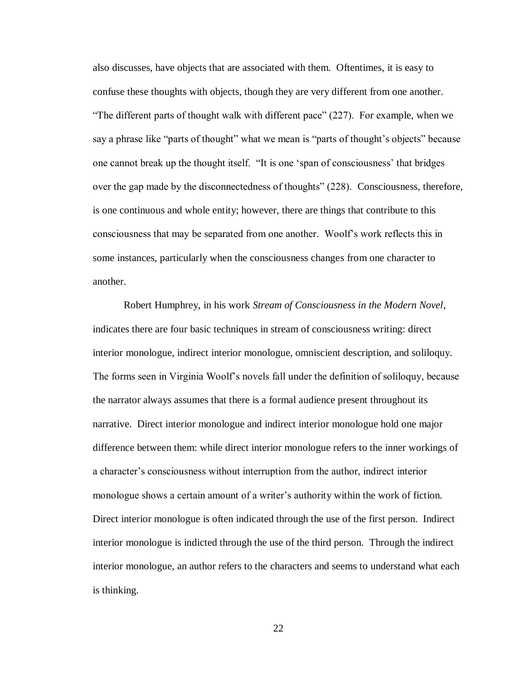also discusses, have objects that are associated with them. Oftentimes, it is easy to confuse these thoughts with objects, though they are very different from one another. "The different parts of thought walk with different pace" (227). For example, when we say a phrase like "parts of thought" what we mean is "parts of thought's objects" because one cannot break up the thought itself. "It is one 'span of consciousness' that bridges over the gap made by the disconnectedness of thoughts" (228). Consciousness, therefore, is one continuous and whole entity; however, there are things that contribute to this consciousness that may be separated from one another. Woolf's work reflects this in some instances, particularly when the consciousness changes from one character to another.

Robert Humphrey, in his work *Stream of Consciousness in the Modern Novel*, indicates there are four basic techniques in stream of consciousness writing: direct interior monologue, indirect interior monologue, omniscient description, and soliloquy. The forms seen in Virginia Woolf's novels fall under the definition of soliloquy, because the narrator always assumes that there is a formal audience present throughout its narrative. Direct interior monologue and indirect interior monologue hold one major difference between them: while direct interior monologue refers to the inner workings of a character's consciousness without interruption from the author, indirect interior monologue shows a certain amount of a writer's authority within the work of fiction. Direct interior monologue is often indicated through the use of the first person. Indirect interior monologue is indicted through the use of the third person. Through the indirect interior monologue, an author refers to the characters and seems to understand what each is thinking.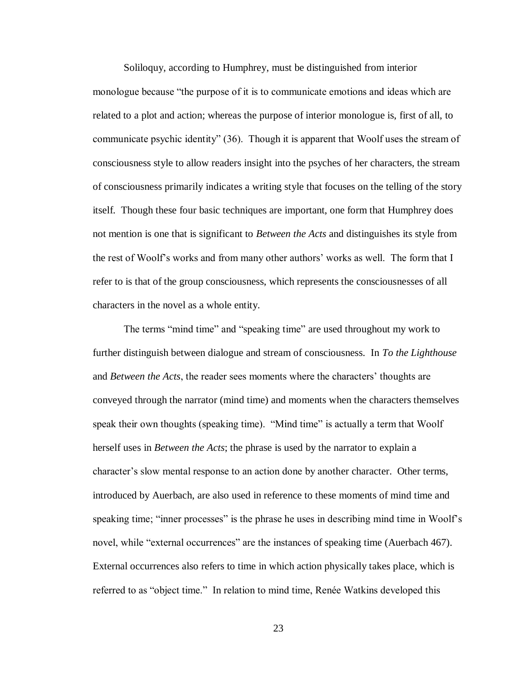Soliloquy, according to Humphrey, must be distinguished from interior monologue because "the purpose of it is to communicate emotions and ideas which are related to a plot and action; whereas the purpose of interior monologue is, first of all, to communicate psychic identity" (36). Though it is apparent that Woolf uses the stream of consciousness style to allow readers insight into the psyches of her characters, the stream of consciousness primarily indicates a writing style that focuses on the telling of the story itself. Though these four basic techniques are important, one form that Humphrey does not mention is one that is significant to *Between the Acts* and distinguishes its style from the rest of Woolf's works and from many other authors' works as well. The form that I refer to is that of the group consciousness, which represents the consciousnesses of all characters in the novel as a whole entity.

The terms "mind time" and "speaking time" are used throughout my work to further distinguish between dialogue and stream of consciousness. In *To the Lighthouse* and *Between the Acts*, the reader sees moments where the characters' thoughts are conveyed through the narrator (mind time) and moments when the characters themselves speak their own thoughts (speaking time). "Mind time" is actually a term that Woolf herself uses in *Between the Acts*; the phrase is used by the narrator to explain a character's slow mental response to an action done by another character. Other terms, introduced by Auerbach, are also used in reference to these moments of mind time and speaking time; "inner processes" is the phrase he uses in describing mind time in Woolf's novel, while "external occurrences" are the instances of speaking time (Auerbach 467). External occurrences also refers to time in which action physically takes place, which is referred to as "object time." In relation to mind time, Renée Watkins developed this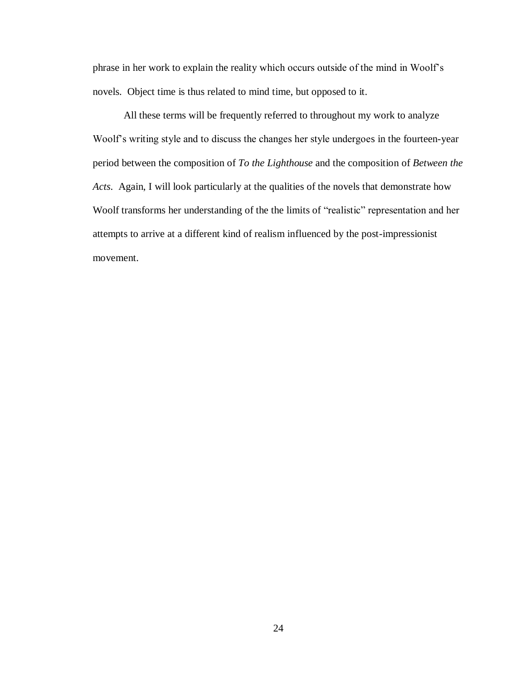phrase in her work to explain the reality which occurs outside of the mind in Woolf's novels. Object time is thus related to mind time, but opposed to it.

All these terms will be frequently referred to throughout my work to analyze Woolf's writing style and to discuss the changes her style undergoes in the fourteen-year period between the composition of *To the Lighthouse* and the composition of *Between the Acts*. Again, I will look particularly at the qualities of the novels that demonstrate how Woolf transforms her understanding of the the limits of "realistic" representation and her attempts to arrive at a different kind of realism influenced by the post-impressionist movement.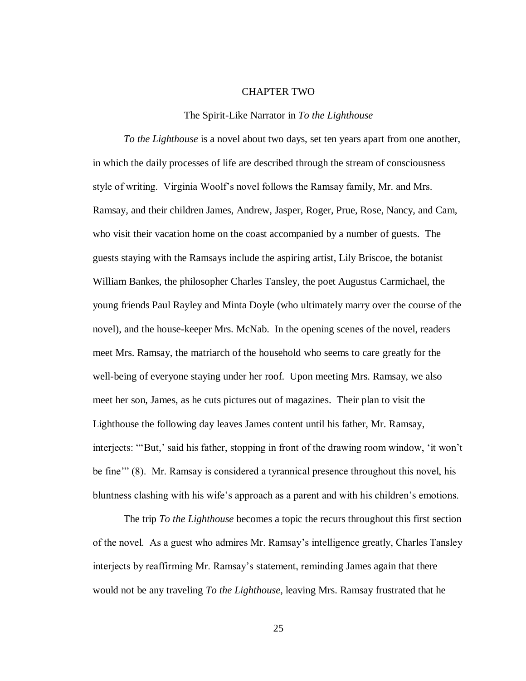## CHAPTER TWO

## The Spirit-Like Narrator in *To the Lighthouse*

*To the Lighthouse* is a novel about two days, set ten years apart from one another, in which the daily processes of life are described through the stream of consciousness style of writing. Virginia Woolf's novel follows the Ramsay family, Mr. and Mrs. Ramsay, and their children James, Andrew, Jasper, Roger, Prue, Rose, Nancy, and Cam, who visit their vacation home on the coast accompanied by a number of guests. The guests staying with the Ramsays include the aspiring artist, Lily Briscoe, the botanist William Bankes, the philosopher Charles Tansley, the poet Augustus Carmichael, the young friends Paul Rayley and Minta Doyle (who ultimately marry over the course of the novel), and the house-keeper Mrs. McNab. In the opening scenes of the novel, readers meet Mrs. Ramsay, the matriarch of the household who seems to care greatly for the well-being of everyone staying under her roof. Upon meeting Mrs. Ramsay, we also meet her son, James, as he cuts pictures out of magazines. Their plan to visit the Lighthouse the following day leaves James content until his father, Mr. Ramsay, interjects: "'But,' said his father, stopping in front of the drawing room window, 'it won't be fine'" (8). Mr. Ramsay is considered a tyrannical presence throughout this novel, his bluntness clashing with his wife's approach as a parent and with his children's emotions.

The trip *To the Lighthouse* becomes a topic the recurs throughout this first section of the novel. As a guest who admires Mr. Ramsay's intelligence greatly, Charles Tansley interjects by reaffirming Mr. Ramsay's statement, reminding James again that there would not be any traveling *To the Lighthouse*, leaving Mrs. Ramsay frustrated that he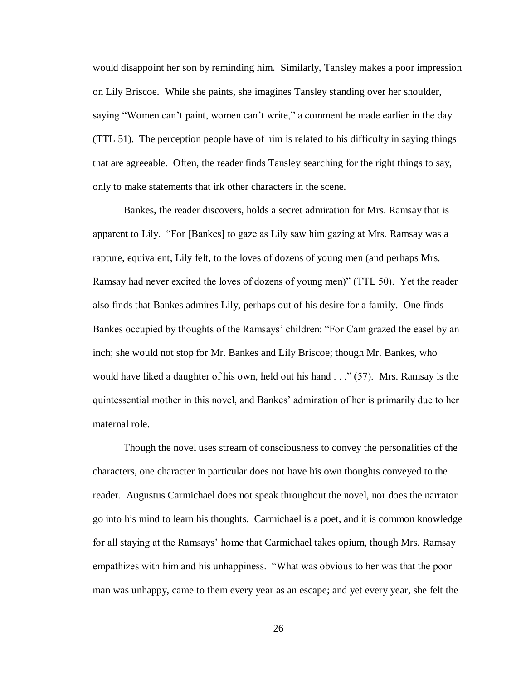would disappoint her son by reminding him. Similarly, Tansley makes a poor impression on Lily Briscoe. While she paints, she imagines Tansley standing over her shoulder, saying "Women can't paint, women can't write," a comment he made earlier in the day (TTL 51). The perception people have of him is related to his difficulty in saying things that are agreeable. Often, the reader finds Tansley searching for the right things to say, only to make statements that irk other characters in the scene.

Bankes, the reader discovers, holds a secret admiration for Mrs. Ramsay that is apparent to Lily. "For [Bankes] to gaze as Lily saw him gazing at Mrs. Ramsay was a rapture, equivalent, Lily felt, to the loves of dozens of young men (and perhaps Mrs. Ramsay had never excited the loves of dozens of young men)" (TTL 50). Yet the reader also finds that Bankes admires Lily, perhaps out of his desire for a family. One finds Bankes occupied by thoughts of the Ramsays' children: "For Cam grazed the easel by an inch; she would not stop for Mr. Bankes and Lily Briscoe; though Mr. Bankes, who would have liked a daughter of his own, held out his hand . . ." (57). Mrs. Ramsay is the quintessential mother in this novel, and Bankes' admiration of her is primarily due to her maternal role.

Though the novel uses stream of consciousness to convey the personalities of the characters, one character in particular does not have his own thoughts conveyed to the reader. Augustus Carmichael does not speak throughout the novel, nor does the narrator go into his mind to learn his thoughts. Carmichael is a poet, and it is common knowledge for all staying at the Ramsays' home that Carmichael takes opium, though Mrs. Ramsay empathizes with him and his unhappiness. "What was obvious to her was that the poor man was unhappy, came to them every year as an escape; and yet every year, she felt the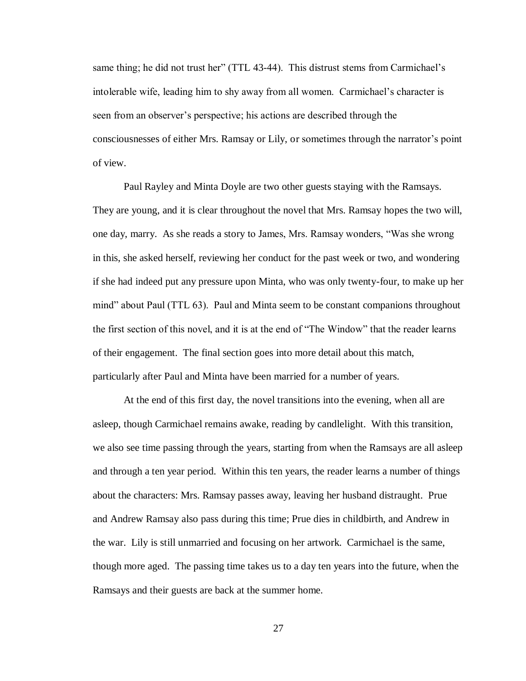same thing; he did not trust her" (TTL 43-44). This distrust stems from Carmichael's intolerable wife, leading him to shy away from all women. Carmichael's character is seen from an observer's perspective; his actions are described through the consciousnesses of either Mrs. Ramsay or Lily, or sometimes through the narrator's point of view.

Paul Rayley and Minta Doyle are two other guests staying with the Ramsays. They are young, and it is clear throughout the novel that Mrs. Ramsay hopes the two will, one day, marry. As she reads a story to James, Mrs. Ramsay wonders, "Was she wrong in this, she asked herself, reviewing her conduct for the past week or two, and wondering if she had indeed put any pressure upon Minta, who was only twenty-four, to make up her mind" about Paul (TTL 63). Paul and Minta seem to be constant companions throughout the first section of this novel, and it is at the end of "The Window" that the reader learns of their engagement. The final section goes into more detail about this match, particularly after Paul and Minta have been married for a number of years.

At the end of this first day, the novel transitions into the evening, when all are asleep, though Carmichael remains awake, reading by candlelight. With this transition, we also see time passing through the years, starting from when the Ramsays are all asleep and through a ten year period. Within this ten years, the reader learns a number of things about the characters: Mrs. Ramsay passes away, leaving her husband distraught. Prue and Andrew Ramsay also pass during this time; Prue dies in childbirth, and Andrew in the war. Lily is still unmarried and focusing on her artwork. Carmichael is the same, though more aged. The passing time takes us to a day ten years into the future, when the Ramsays and their guests are back at the summer home.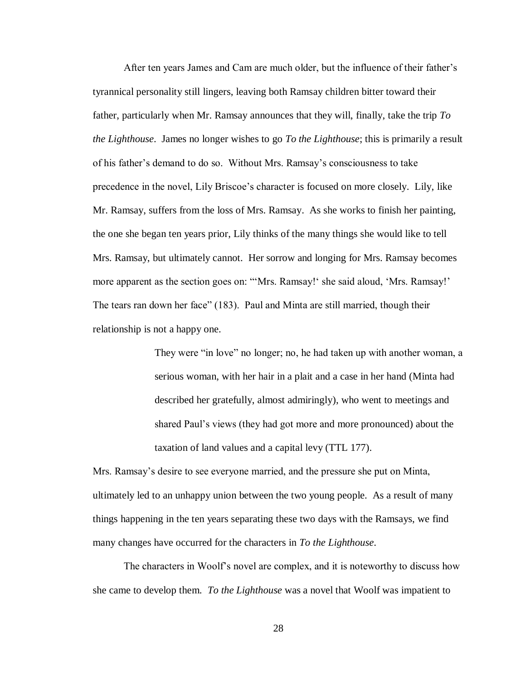After ten years James and Cam are much older, but the influence of their father's tyrannical personality still lingers, leaving both Ramsay children bitter toward their father, particularly when Mr. Ramsay announces that they will, finally, take the trip *To the Lighthouse*. James no longer wishes to go *To the Lighthouse*; this is primarily a result of his father's demand to do so. Without Mrs. Ramsay's consciousness to take precedence in the novel, Lily Briscoe's character is focused on more closely. Lily, like Mr. Ramsay, suffers from the loss of Mrs. Ramsay. As she works to finish her painting, the one she began ten years prior, Lily thinks of the many things she would like to tell Mrs. Ramsay, but ultimately cannot. Her sorrow and longing for Mrs. Ramsay becomes more apparent as the section goes on: "'Mrs. Ramsay!' she said aloud, 'Mrs. Ramsay!' The tears ran down her face" (183). Paul and Minta are still married, though their relationship is not a happy one.

> They were "in love" no longer; no, he had taken up with another woman, a serious woman, with her hair in a plait and a case in her hand (Minta had described her gratefully, almost admiringly), who went to meetings and shared Paul's views (they had got more and more pronounced) about the taxation of land values and a capital levy (TTL 177).

Mrs. Ramsay's desire to see everyone married, and the pressure she put on Minta, ultimately led to an unhappy union between the two young people. As a result of many things happening in the ten years separating these two days with the Ramsays, we find many changes have occurred for the characters in *To the Lighthouse*.

The characters in Woolf's novel are complex, and it is noteworthy to discuss how she came to develop them. *To the Lighthouse* was a novel that Woolf was impatient to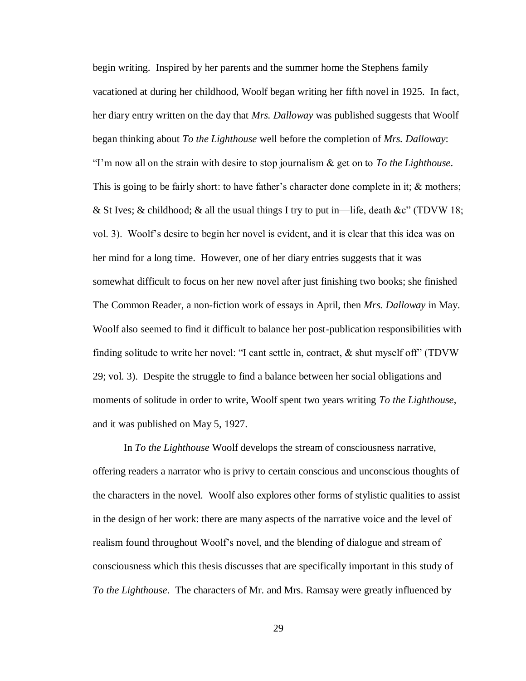begin writing. Inspired by her parents and the summer home the Stephens family vacationed at during her childhood, Woolf began writing her fifth novel in 1925. In fact, her diary entry written on the day that *Mrs. Dalloway* was published suggests that Woolf began thinking about *To the Lighthouse* well before the completion of *Mrs. Dalloway*: "I'm now all on the strain with desire to stop journalism & get on to *To the Lighthouse*. This is going to be fairly short: to have father's character done complete in it;  $\&$  mothers; & St Ives; & childhood; & all the usual things I try to put in—life, death &c" (TDVW 18; vol. 3). Woolf's desire to begin her novel is evident, and it is clear that this idea was on her mind for a long time. However, one of her diary entries suggests that it was somewhat difficult to focus on her new novel after just finishing two books; she finished The Common Reader, a non-fiction work of essays in April, then *Mrs. Dalloway* in May. Woolf also seemed to find it difficult to balance her post-publication responsibilities with finding solitude to write her novel: "I cant settle in, contract, & shut myself off" (TDVW 29; vol. 3). Despite the struggle to find a balance between her social obligations and moments of solitude in order to write, Woolf spent two years writing *To the Lighthouse*, and it was published on May 5, 1927.

In *To the Lighthouse* Woolf develops the stream of consciousness narrative, offering readers a narrator who is privy to certain conscious and unconscious thoughts of the characters in the novel. Woolf also explores other forms of stylistic qualities to assist in the design of her work: there are many aspects of the narrative voice and the level of realism found throughout Woolf's novel, and the blending of dialogue and stream of consciousness which this thesis discusses that are specifically important in this study of *To the Lighthouse*. The characters of Mr. and Mrs. Ramsay were greatly influenced by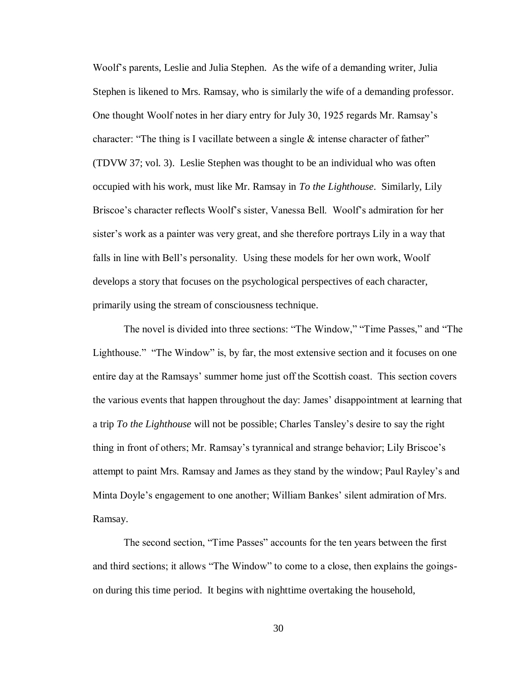Woolf's parents, Leslie and Julia Stephen. As the wife of a demanding writer, Julia Stephen is likened to Mrs. Ramsay, who is similarly the wife of a demanding professor. One thought Woolf notes in her diary entry for July 30, 1925 regards Mr. Ramsay's character: "The thing is I vacillate between a single  $\&$  intense character of father" (TDVW 37; vol. 3). Leslie Stephen was thought to be an individual who was often occupied with his work, must like Mr. Ramsay in *To the Lighthouse*. Similarly, Lily Briscoe's character reflects Woolf's sister, Vanessa Bell. Woolf's admiration for her sister's work as a painter was very great, and she therefore portrays Lily in a way that falls in line with Bell's personality. Using these models for her own work, Woolf develops a story that focuses on the psychological perspectives of each character, primarily using the stream of consciousness technique.

The novel is divided into three sections: "The Window," "Time Passes," and "The Lighthouse." "The Window" is, by far, the most extensive section and it focuses on one entire day at the Ramsays' summer home just off the Scottish coast. This section covers the various events that happen throughout the day: James' disappointment at learning that a trip *To the Lighthouse* will not be possible; Charles Tansley's desire to say the right thing in front of others; Mr. Ramsay's tyrannical and strange behavior; Lily Briscoe's attempt to paint Mrs. Ramsay and James as they stand by the window; Paul Rayley's and Minta Doyle's engagement to one another; William Bankes' silent admiration of Mrs. Ramsay.

The second section, "Time Passes" accounts for the ten years between the first and third sections; it allows "The Window" to come to a close, then explains the goingson during this time period. It begins with nighttime overtaking the household,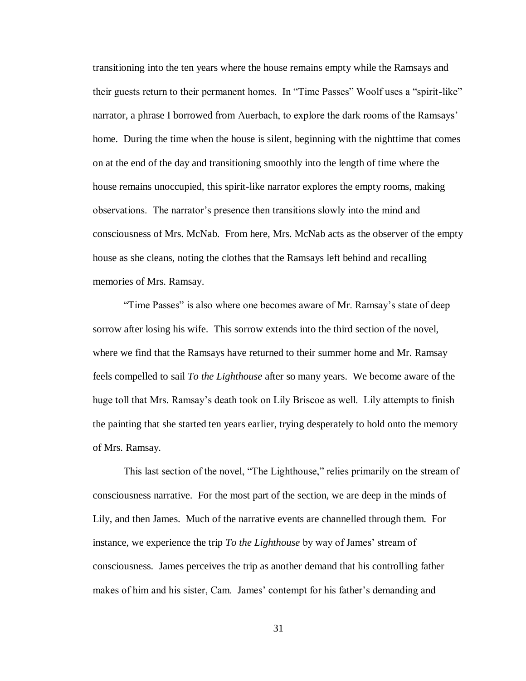transitioning into the ten years where the house remains empty while the Ramsays and their guests return to their permanent homes. In "Time Passes" Woolf uses a "spirit-like" narrator, a phrase I borrowed from Auerbach, to explore the dark rooms of the Ramsays' home. During the time when the house is silent, beginning with the nighttime that comes on at the end of the day and transitioning smoothly into the length of time where the house remains unoccupied, this spirit-like narrator explores the empty rooms, making observations. The narrator's presence then transitions slowly into the mind and consciousness of Mrs. McNab. From here, Mrs. McNab acts as the observer of the empty house as she cleans, noting the clothes that the Ramsays left behind and recalling memories of Mrs. Ramsay.

"Time Passes" is also where one becomes aware of Mr. Ramsay's state of deep sorrow after losing his wife. This sorrow extends into the third section of the novel, where we find that the Ramsays have returned to their summer home and Mr. Ramsay feels compelled to sail *To the Lighthouse* after so many years. We become aware of the huge toll that Mrs. Ramsay's death took on Lily Briscoe as well. Lily attempts to finish the painting that she started ten years earlier, trying desperately to hold onto the memory of Mrs. Ramsay.

This last section of the novel, "The Lighthouse," relies primarily on the stream of consciousness narrative. For the most part of the section, we are deep in the minds of Lily, and then James. Much of the narrative events are channelled through them. For instance, we experience the trip *To the Lighthouse* by way of James' stream of consciousness. James perceives the trip as another demand that his controlling father makes of him and his sister, Cam. James' contempt for his father's demanding and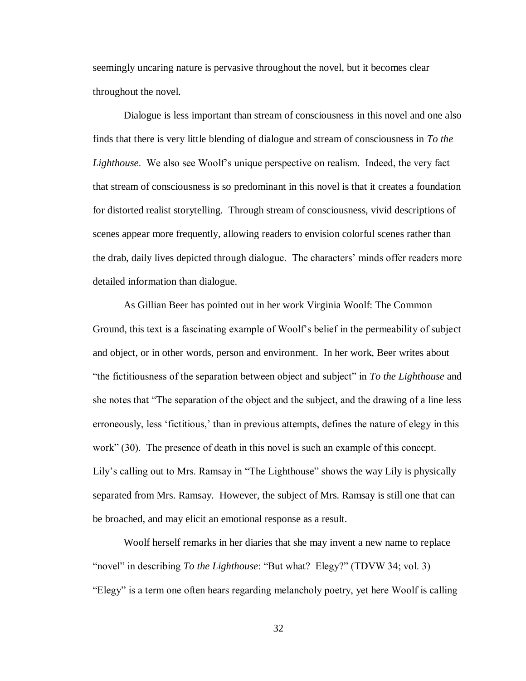seemingly uncaring nature is pervasive throughout the novel, but it becomes clear throughout the novel.

Dialogue is less important than stream of consciousness in this novel and one also finds that there is very little blending of dialogue and stream of consciousness in *To the Lighthouse*. We also see Woolf's unique perspective on realism. Indeed, the very fact that stream of consciousness is so predominant in this novel is that it creates a foundation for distorted realist storytelling. Through stream of consciousness, vivid descriptions of scenes appear more frequently, allowing readers to envision colorful scenes rather than the drab, daily lives depicted through dialogue. The characters' minds offer readers more detailed information than dialogue.

As Gillian Beer has pointed out in her work Virginia Woolf: The Common Ground, this text is a fascinating example of Woolf's belief in the permeability of subject and object, or in other words, person and environment. In her work, Beer writes about "the fictitiousness of the separation between object and subject" in *To the Lighthouse* and she notes that "The separation of the object and the subject, and the drawing of a line less erroneously, less 'fictitious,' than in previous attempts, defines the nature of elegy in this work" (30). The presence of death in this novel is such an example of this concept. Lily's calling out to Mrs. Ramsay in "The Lighthouse" shows the way Lily is physically separated from Mrs. Ramsay. However, the subject of Mrs. Ramsay is still one that can be broached, and may elicit an emotional response as a result.

Woolf herself remarks in her diaries that she may invent a new name to replace "novel" in describing *To the Lighthouse*: "But what? Elegy?" (TDVW 34; vol. 3) "Elegy" is a term one often hears regarding melancholy poetry, yet here Woolf is calling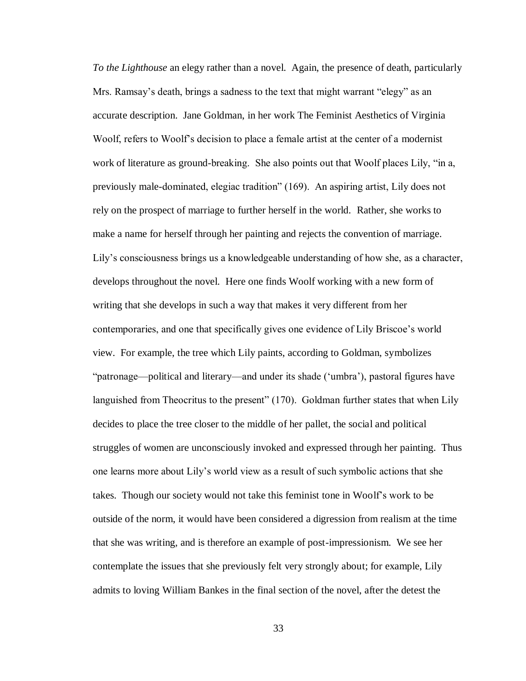*To the Lighthouse* an elegy rather than a novel. Again, the presence of death, particularly Mrs. Ramsay's death, brings a sadness to the text that might warrant "elegy" as an accurate description. Jane Goldman, in her work The Feminist Aesthetics of Virginia Woolf, refers to Woolf's decision to place a female artist at the center of a modernist work of literature as ground-breaking. She also points out that Woolf places Lily, "in a, previously male-dominated, elegiac tradition" (169). An aspiring artist, Lily does not rely on the prospect of marriage to further herself in the world. Rather, she works to make a name for herself through her painting and rejects the convention of marriage. Lily's consciousness brings us a knowledgeable understanding of how she, as a character, develops throughout the novel. Here one finds Woolf working with a new form of writing that she develops in such a way that makes it very different from her contemporaries, and one that specifically gives one evidence of Lily Briscoe's world view. For example, the tree which Lily paints, according to Goldman, symbolizes "patronage—political and literary—and under its shade ('umbra'), pastoral figures have languished from Theocritus to the present" (170). Goldman further states that when Lily decides to place the tree closer to the middle of her pallet, the social and political struggles of women are unconsciously invoked and expressed through her painting. Thus one learns more about Lily's world view as a result of such symbolic actions that she takes. Though our society would not take this feminist tone in Woolf's work to be outside of the norm, it would have been considered a digression from realism at the time that she was writing, and is therefore an example of post-impressionism. We see her contemplate the issues that she previously felt very strongly about; for example, Lily admits to loving William Bankes in the final section of the novel, after the detest the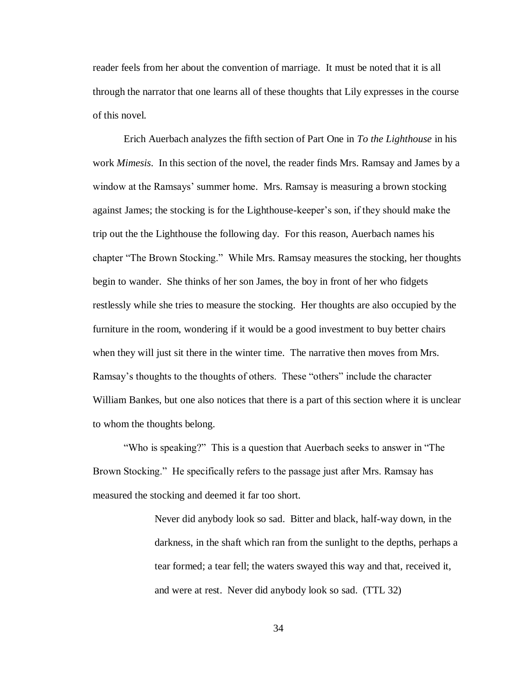reader feels from her about the convention of marriage. It must be noted that it is all through the narrator that one learns all of these thoughts that Lily expresses in the course of this novel.

Erich Auerbach analyzes the fifth section of Part One in *To the Lighthouse* in his work *Mimesis*. In this section of the novel, the reader finds Mrs. Ramsay and James by a window at the Ramsays' summer home. Mrs. Ramsay is measuring a brown stocking against James; the stocking is for the Lighthouse-keeper's son, if they should make the trip out the the Lighthouse the following day. For this reason, Auerbach names his chapter "The Brown Stocking." While Mrs. Ramsay measures the stocking, her thoughts begin to wander. She thinks of her son James, the boy in front of her who fidgets restlessly while she tries to measure the stocking. Her thoughts are also occupied by the furniture in the room, wondering if it would be a good investment to buy better chairs when they will just sit there in the winter time. The narrative then moves from Mrs. Ramsay's thoughts to the thoughts of others. These "others" include the character William Bankes, but one also notices that there is a part of this section where it is unclear to whom the thoughts belong.

"Who is speaking?" This is a question that Auerbach seeks to answer in "The Brown Stocking." He specifically refers to the passage just after Mrs. Ramsay has measured the stocking and deemed it far too short.

> Never did anybody look so sad. Bitter and black, half-way down, in the darkness, in the shaft which ran from the sunlight to the depths, perhaps a tear formed; a tear fell; the waters swayed this way and that, received it, and were at rest. Never did anybody look so sad. (TTL 32)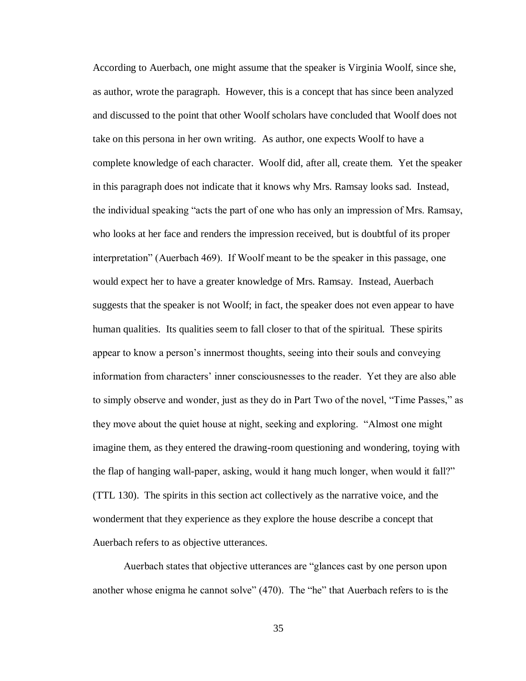According to Auerbach, one might assume that the speaker is Virginia Woolf, since she, as author, wrote the paragraph. However, this is a concept that has since been analyzed and discussed to the point that other Woolf scholars have concluded that Woolf does not take on this persona in her own writing. As author, one expects Woolf to have a complete knowledge of each character. Woolf did, after all, create them. Yet the speaker in this paragraph does not indicate that it knows why Mrs. Ramsay looks sad. Instead, the individual speaking "acts the part of one who has only an impression of Mrs. Ramsay, who looks at her face and renders the impression received, but is doubtful of its proper interpretation" (Auerbach 469). If Woolf meant to be the speaker in this passage, one would expect her to have a greater knowledge of Mrs. Ramsay. Instead, Auerbach suggests that the speaker is not Woolf; in fact, the speaker does not even appear to have human qualities. Its qualities seem to fall closer to that of the spiritual. These spirits appear to know a person's innermost thoughts, seeing into their souls and conveying information from characters' inner consciousnesses to the reader. Yet they are also able to simply observe and wonder, just as they do in Part Two of the novel, "Time Passes," as they move about the quiet house at night, seeking and exploring. "Almost one might imagine them, as they entered the drawing-room questioning and wondering, toying with the flap of hanging wall-paper, asking, would it hang much longer, when would it fall?" (TTL 130). The spirits in this section act collectively as the narrative voice, and the wonderment that they experience as they explore the house describe a concept that Auerbach refers to as objective utterances.

Auerbach states that objective utterances are "glances cast by one person upon another whose enigma he cannot solve" (470). The "he" that Auerbach refers to is the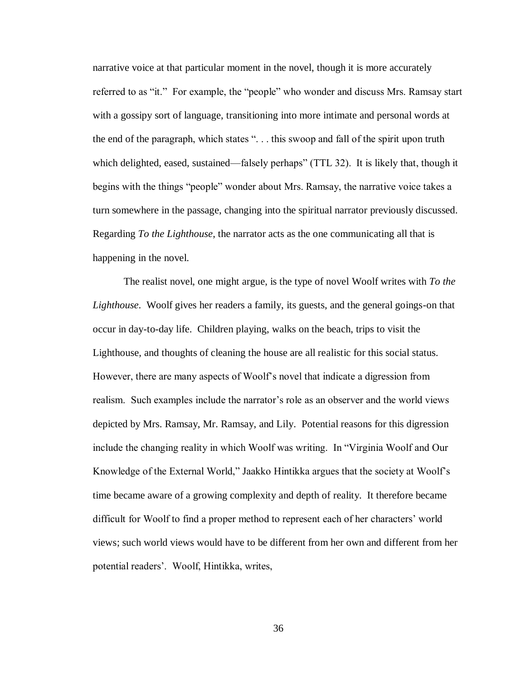narrative voice at that particular moment in the novel, though it is more accurately referred to as "it." For example, the "people" who wonder and discuss Mrs. Ramsay start with a gossipy sort of language, transitioning into more intimate and personal words at the end of the paragraph, which states ". . . this swoop and fall of the spirit upon truth which delighted, eased, sustained—falsely perhaps" (TTL 32). It is likely that, though it begins with the things "people" wonder about Mrs. Ramsay, the narrative voice takes a turn somewhere in the passage, changing into the spiritual narrator previously discussed. Regarding *To the Lighthouse*, the narrator acts as the one communicating all that is happening in the novel.

The realist novel, one might argue, is the type of novel Woolf writes with *To the Lighthouse*. Woolf gives her readers a family, its guests, and the general goings-on that occur in day-to-day life. Children playing, walks on the beach, trips to visit the Lighthouse, and thoughts of cleaning the house are all realistic for this social status. However, there are many aspects of Woolf's novel that indicate a digression from realism. Such examples include the narrator's role as an observer and the world views depicted by Mrs. Ramsay, Mr. Ramsay, and Lily. Potential reasons for this digression include the changing reality in which Woolf was writing. In "Virginia Woolf and Our Knowledge of the External World," Jaakko Hintikka argues that the society at Woolf's time became aware of a growing complexity and depth of reality. It therefore became difficult for Woolf to find a proper method to represent each of her characters' world views; such world views would have to be different from her own and different from her potential readers'. Woolf, Hintikka, writes,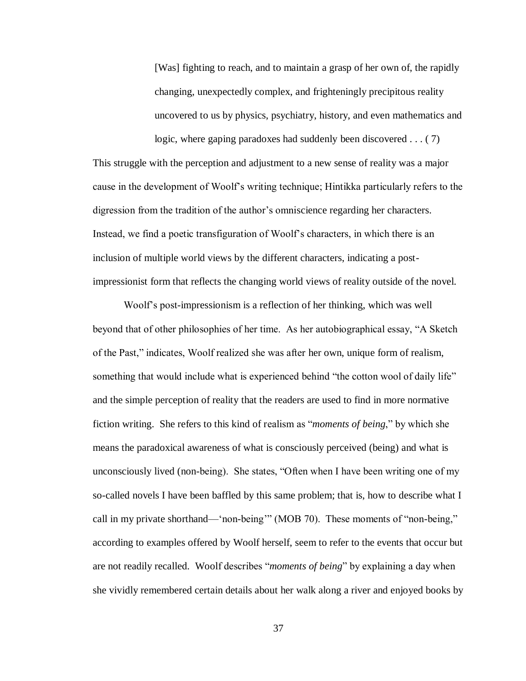[Was] fighting to reach, and to maintain a grasp of her own of, the rapidly changing, unexpectedly complex, and frighteningly precipitous reality uncovered to us by physics, psychiatry, history, and even mathematics and logic, where gaping paradoxes had suddenly been discovered . . . (7)

This struggle with the perception and adjustment to a new sense of reality was a major cause in the development of Woolf's writing technique; Hintikka particularly refers to the digression from the tradition of the author's omniscience regarding her characters. Instead, we find a poetic transfiguration of Woolf's characters, in which there is an inclusion of multiple world views by the different characters, indicating a postimpressionist form that reflects the changing world views of reality outside of the novel.

Woolf's post-impressionism is a reflection of her thinking, which was well beyond that of other philosophies of her time. As her autobiographical essay, "A Sketch of the Past," indicates, Woolf realized she was after her own, unique form of realism, something that would include what is experienced behind "the cotton wool of daily life" and the simple perception of reality that the readers are used to find in more normative fiction writing. She refers to this kind of realism as "*moments of being*," by which she means the paradoxical awareness of what is consciously perceived (being) and what is unconsciously lived (non-being). She states, "Often when I have been writing one of my so-called novels I have been baffled by this same problem; that is, how to describe what I call in my private shorthand—'non-being'" (MOB 70). These moments of "non-being," according to examples offered by Woolf herself, seem to refer to the events that occur but are not readily recalled. Woolf describes "*moments of being*" by explaining a day when she vividly remembered certain details about her walk along a river and enjoyed books by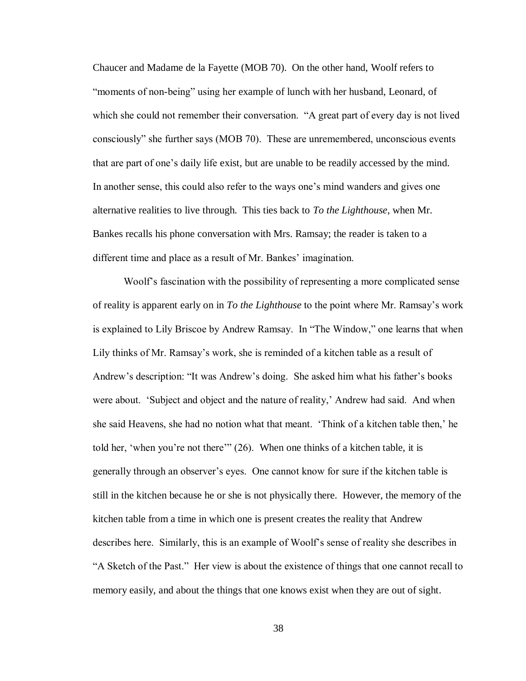Chaucer and Madame de la Fayette (MOB 70). On the other hand, Woolf refers to "moments of non-being" using her example of lunch with her husband, Leonard, of which she could not remember their conversation. "A great part of every day is not lived consciously" she further says (MOB 70). These are unremembered, unconscious events that are part of one's daily life exist, but are unable to be readily accessed by the mind. In another sense, this could also refer to the ways one's mind wanders and gives one alternative realities to live through. This ties back to *To the Lighthouse*, when Mr. Bankes recalls his phone conversation with Mrs. Ramsay; the reader is taken to a different time and place as a result of Mr. Bankes' imagination.

Woolf's fascination with the possibility of representing a more complicated sense of reality is apparent early on in *To the Lighthouse* to the point where Mr. Ramsay's work is explained to Lily Briscoe by Andrew Ramsay. In "The Window," one learns that when Lily thinks of Mr. Ramsay's work, she is reminded of a kitchen table as a result of Andrew's description: "It was Andrew's doing. She asked him what his father's books were about. 'Subject and object and the nature of reality,' Andrew had said. And when she said Heavens, she had no notion what that meant. 'Think of a kitchen table then,' he told her, 'when you're not there'" (26). When one thinks of a kitchen table, it is generally through an observer's eyes. One cannot know for sure if the kitchen table is still in the kitchen because he or she is not physically there. However, the memory of the kitchen table from a time in which one is present creates the reality that Andrew describes here. Similarly, this is an example of Woolf's sense of reality she describes in "A Sketch of the Past." Her view is about the existence of things that one cannot recall to memory easily, and about the things that one knows exist when they are out of sight.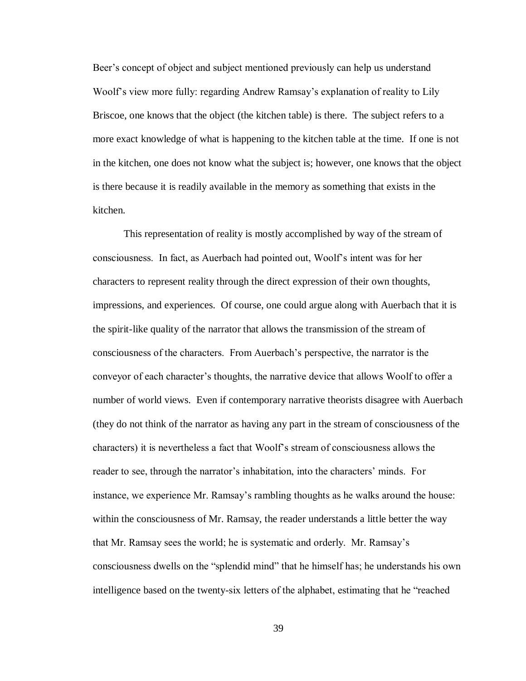Beer's concept of object and subject mentioned previously can help us understand Woolf's view more fully: regarding Andrew Ramsay's explanation of reality to Lily Briscoe, one knows that the object (the kitchen table) is there. The subject refers to a more exact knowledge of what is happening to the kitchen table at the time. If one is not in the kitchen, one does not know what the subject is; however, one knows that the object is there because it is readily available in the memory as something that exists in the kitchen.

This representation of reality is mostly accomplished by way of the stream of consciousness. In fact, as Auerbach had pointed out, Woolf's intent was for her characters to represent reality through the direct expression of their own thoughts, impressions, and experiences. Of course, one could argue along with Auerbach that it is the spirit-like quality of the narrator that allows the transmission of the stream of consciousness of the characters. From Auerbach's perspective, the narrator is the conveyor of each character's thoughts, the narrative device that allows Woolf to offer a number of world views. Even if contemporary narrative theorists disagree with Auerbach (they do not think of the narrator as having any part in the stream of consciousness of the characters) it is nevertheless a fact that Woolf's stream of consciousness allows the reader to see, through the narrator's inhabitation, into the characters' minds. For instance, we experience Mr. Ramsay's rambling thoughts as he walks around the house: within the consciousness of Mr. Ramsay, the reader understands a little better the way that Mr. Ramsay sees the world; he is systematic and orderly. Mr. Ramsay's consciousness dwells on the "splendid mind" that he himself has; he understands his own intelligence based on the twenty-six letters of the alphabet, estimating that he "reached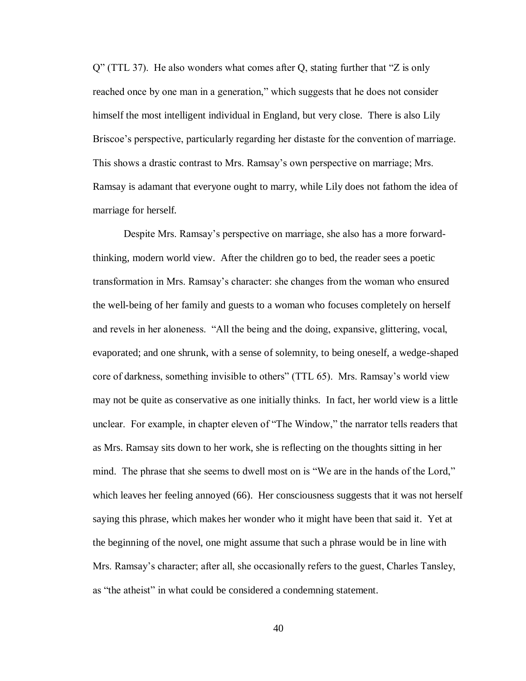Q" (TTL 37). He also wonders what comes after Q, stating further that "Z is only reached once by one man in a generation," which suggests that he does not consider himself the most intelligent individual in England, but very close. There is also Lily Briscoe's perspective, particularly regarding her distaste for the convention of marriage. This shows a drastic contrast to Mrs. Ramsay's own perspective on marriage; Mrs. Ramsay is adamant that everyone ought to marry, while Lily does not fathom the idea of marriage for herself.

Despite Mrs. Ramsay's perspective on marriage, she also has a more forwardthinking, modern world view. After the children go to bed, the reader sees a poetic transformation in Mrs. Ramsay's character: she changes from the woman who ensured the well-being of her family and guests to a woman who focuses completely on herself and revels in her aloneness. "All the being and the doing, expansive, glittering, vocal, evaporated; and one shrunk, with a sense of solemnity, to being oneself, a wedge-shaped core of darkness, something invisible to others" (TTL 65). Mrs. Ramsay's world view may not be quite as conservative as one initially thinks. In fact, her world view is a little unclear. For example, in chapter eleven of "The Window," the narrator tells readers that as Mrs. Ramsay sits down to her work, she is reflecting on the thoughts sitting in her mind. The phrase that she seems to dwell most on is "We are in the hands of the Lord," which leaves her feeling annoyed (66). Her consciousness suggests that it was not herself saying this phrase, which makes her wonder who it might have been that said it. Yet at the beginning of the novel, one might assume that such a phrase would be in line with Mrs. Ramsay's character; after all, she occasionally refers to the guest, Charles Tansley, as "the atheist" in what could be considered a condemning statement.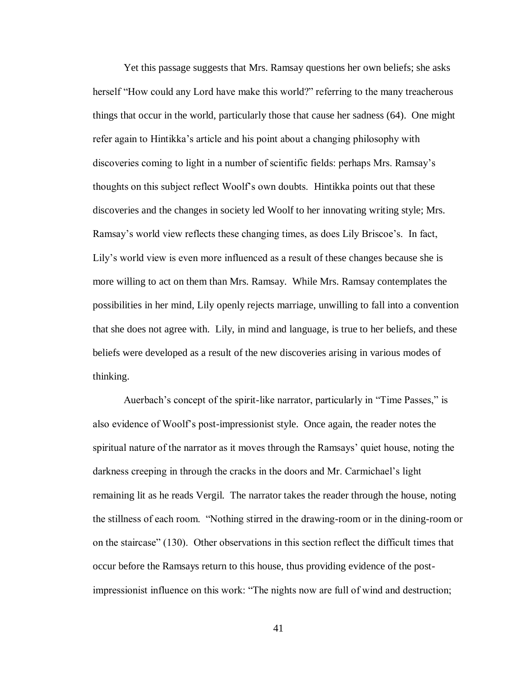Yet this passage suggests that Mrs. Ramsay questions her own beliefs; she asks herself "How could any Lord have make this world?" referring to the many treacherous things that occur in the world, particularly those that cause her sadness (64). One might refer again to Hintikka's article and his point about a changing philosophy with discoveries coming to light in a number of scientific fields: perhaps Mrs. Ramsay's thoughts on this subject reflect Woolf's own doubts. Hintikka points out that these discoveries and the changes in society led Woolf to her innovating writing style; Mrs. Ramsay's world view reflects these changing times, as does Lily Briscoe's. In fact, Lily's world view is even more influenced as a result of these changes because she is more willing to act on them than Mrs. Ramsay. While Mrs. Ramsay contemplates the possibilities in her mind, Lily openly rejects marriage, unwilling to fall into a convention that she does not agree with. Lily, in mind and language, is true to her beliefs, and these beliefs were developed as a result of the new discoveries arising in various modes of thinking.

Auerbach's concept of the spirit-like narrator, particularly in "Time Passes," is also evidence of Woolf's post-impressionist style. Once again, the reader notes the spiritual nature of the narrator as it moves through the Ramsays' quiet house, noting the darkness creeping in through the cracks in the doors and Mr. Carmichael's light remaining lit as he reads Vergil. The narrator takes the reader through the house, noting the stillness of each room. "Nothing stirred in the drawing-room or in the dining-room or on the staircase" (130). Other observations in this section reflect the difficult times that occur before the Ramsays return to this house, thus providing evidence of the postimpressionist influence on this work: "The nights now are full of wind and destruction;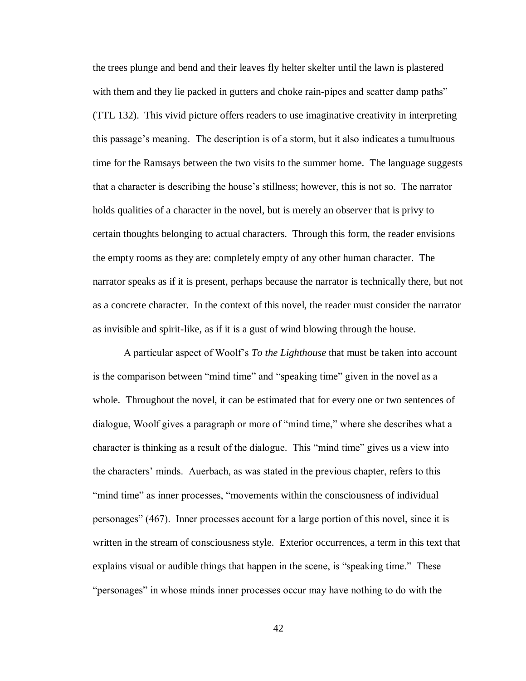the trees plunge and bend and their leaves fly helter skelter until the lawn is plastered with them and they lie packed in gutters and choke rain-pipes and scatter damp paths" (TTL 132). This vivid picture offers readers to use imaginative creativity in interpreting this passage's meaning. The description is of a storm, but it also indicates a tumultuous time for the Ramsays between the two visits to the summer home. The language suggests that a character is describing the house's stillness; however, this is not so. The narrator holds qualities of a character in the novel, but is merely an observer that is privy to certain thoughts belonging to actual characters. Through this form, the reader envisions the empty rooms as they are: completely empty of any other human character. The narrator speaks as if it is present, perhaps because the narrator is technically there, but not as a concrete character. In the context of this novel, the reader must consider the narrator as invisible and spirit-like, as if it is a gust of wind blowing through the house.

A particular aspect of Woolf's *To the Lighthouse* that must be taken into account is the comparison between "mind time" and "speaking time" given in the novel as a whole. Throughout the novel, it can be estimated that for every one or two sentences of dialogue, Woolf gives a paragraph or more of "mind time," where she describes what a character is thinking as a result of the dialogue. This "mind time" gives us a view into the characters' minds. Auerbach, as was stated in the previous chapter, refers to this "mind time" as inner processes, "movements within the consciousness of individual personages" (467). Inner processes account for a large portion of this novel, since it is written in the stream of consciousness style. Exterior occurrences, a term in this text that explains visual or audible things that happen in the scene, is "speaking time." These "personages" in whose minds inner processes occur may have nothing to do with the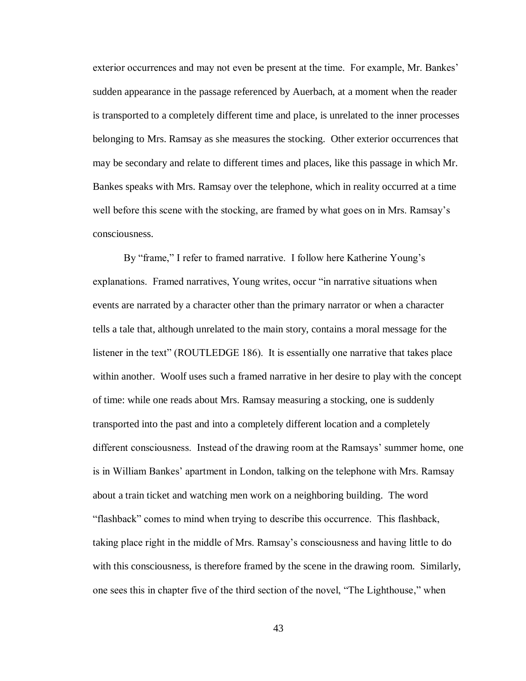exterior occurrences and may not even be present at the time. For example, Mr. Bankes' sudden appearance in the passage referenced by Auerbach, at a moment when the reader is transported to a completely different time and place, is unrelated to the inner processes belonging to Mrs. Ramsay as she measures the stocking. Other exterior occurrences that may be secondary and relate to different times and places, like this passage in which Mr. Bankes speaks with Mrs. Ramsay over the telephone, which in reality occurred at a time well before this scene with the stocking, are framed by what goes on in Mrs. Ramsay's consciousness.

By "frame," I refer to framed narrative. I follow here Katherine Young's explanations. Framed narratives, Young writes, occur "in narrative situations when events are narrated by a character other than the primary narrator or when a character tells a tale that, although unrelated to the main story, contains a moral message for the listener in the text" (ROUTLEDGE 186). It is essentially one narrative that takes place within another. Woolf uses such a framed narrative in her desire to play with the concept of time: while one reads about Mrs. Ramsay measuring a stocking, one is suddenly transported into the past and into a completely different location and a completely different consciousness. Instead of the drawing room at the Ramsays' summer home, one is in William Bankes' apartment in London, talking on the telephone with Mrs. Ramsay about a train ticket and watching men work on a neighboring building. The word "flashback" comes to mind when trying to describe this occurrence. This flashback, taking place right in the middle of Mrs. Ramsay's consciousness and having little to do with this consciousness, is therefore framed by the scene in the drawing room. Similarly, one sees this in chapter five of the third section of the novel, "The Lighthouse," when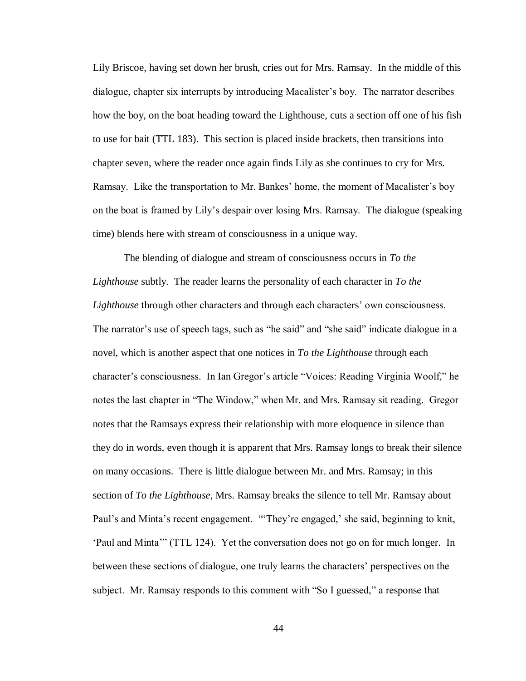Lily Briscoe, having set down her brush, cries out for Mrs. Ramsay. In the middle of this dialogue, chapter six interrupts by introducing Macalister's boy. The narrator describes how the boy, on the boat heading toward the Lighthouse, cuts a section off one of his fish to use for bait (TTL 183). This section is placed inside brackets, then transitions into chapter seven, where the reader once again finds Lily as she continues to cry for Mrs. Ramsay. Like the transportation to Mr. Bankes' home, the moment of Macalister's boy on the boat is framed by Lily's despair over losing Mrs. Ramsay. The dialogue (speaking time) blends here with stream of consciousness in a unique way.

The blending of dialogue and stream of consciousness occurs in *To the Lighthouse* subtly. The reader learns the personality of each character in *To the Lighthouse* through other characters and through each characters' own consciousness. The narrator's use of speech tags, such as "he said" and "she said" indicate dialogue in a novel, which is another aspect that one notices in *To the Lighthouse* through each character's consciousness. In Ian Gregor's article "Voices: Reading Virginia Woolf," he notes the last chapter in "The Window," when Mr. and Mrs. Ramsay sit reading. Gregor notes that the Ramsays express their relationship with more eloquence in silence than they do in words, even though it is apparent that Mrs. Ramsay longs to break their silence on many occasions. There is little dialogue between Mr. and Mrs. Ramsay; in this section of *To the Lighthouse*, Mrs. Ramsay breaks the silence to tell Mr. Ramsay about Paul's and Minta's recent engagement. "'They're engaged,' she said, beginning to knit, 'Paul and Minta'" (TTL 124). Yet the conversation does not go on for much longer. In between these sections of dialogue, one truly learns the characters' perspectives on the subject. Mr. Ramsay responds to this comment with "So I guessed," a response that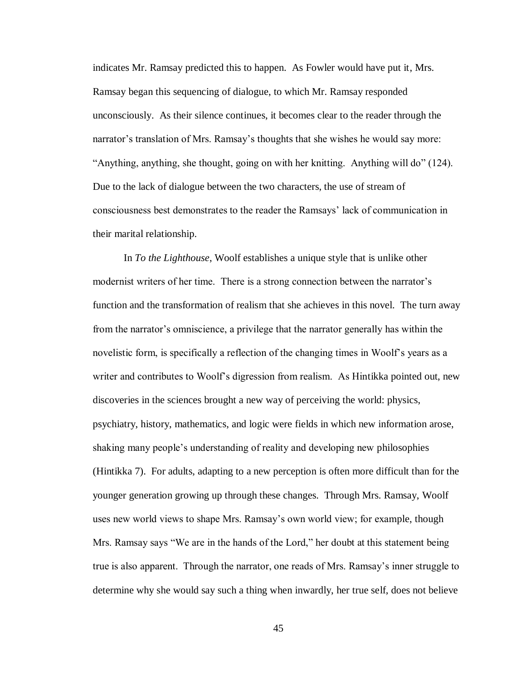indicates Mr. Ramsay predicted this to happen. As Fowler would have put it, Mrs. Ramsay began this sequencing of dialogue, to which Mr. Ramsay responded unconsciously. As their silence continues, it becomes clear to the reader through the narrator's translation of Mrs. Ramsay's thoughts that she wishes he would say more: "Anything, anything, she thought, going on with her knitting. Anything will do" (124). Due to the lack of dialogue between the two characters, the use of stream of consciousness best demonstrates to the reader the Ramsays' lack of communication in their marital relationship.

In *To the Lighthouse*, Woolf establishes a unique style that is unlike other modernist writers of her time. There is a strong connection between the narrator's function and the transformation of realism that she achieves in this novel. The turn away from the narrator's omniscience, a privilege that the narrator generally has within the novelistic form, is specifically a reflection of the changing times in Woolf's years as a writer and contributes to Woolf's digression from realism. As Hintikka pointed out, new discoveries in the sciences brought a new way of perceiving the world: physics, psychiatry, history, mathematics, and logic were fields in which new information arose, shaking many people's understanding of reality and developing new philosophies (Hintikka 7). For adults, adapting to a new perception is often more difficult than for the younger generation growing up through these changes. Through Mrs. Ramsay, Woolf uses new world views to shape Mrs. Ramsay's own world view; for example, though Mrs. Ramsay says "We are in the hands of the Lord," her doubt at this statement being true is also apparent. Through the narrator, one reads of Mrs. Ramsay's inner struggle to determine why she would say such a thing when inwardly, her true self, does not believe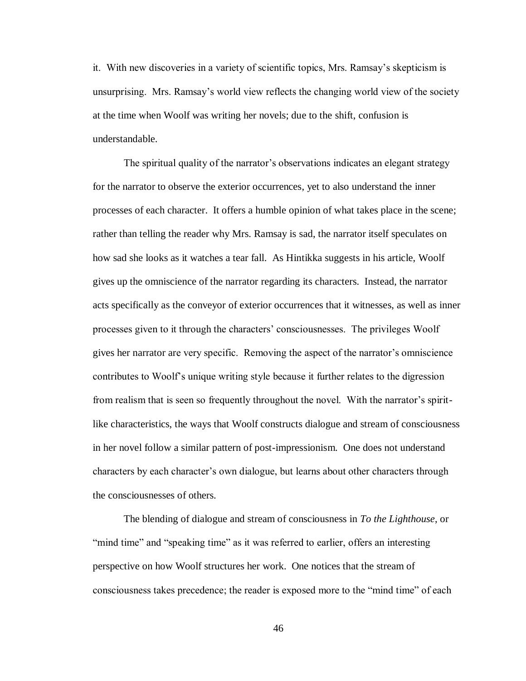it. With new discoveries in a variety of scientific topics, Mrs. Ramsay's skepticism is unsurprising. Mrs. Ramsay's world view reflects the changing world view of the society at the time when Woolf was writing her novels; due to the shift, confusion is understandable.

The spiritual quality of the narrator's observations indicates an elegant strategy for the narrator to observe the exterior occurrences, yet to also understand the inner processes of each character. It offers a humble opinion of what takes place in the scene; rather than telling the reader why Mrs. Ramsay is sad, the narrator itself speculates on how sad she looks as it watches a tear fall. As Hintikka suggests in his article, Woolf gives up the omniscience of the narrator regarding its characters. Instead, the narrator acts specifically as the conveyor of exterior occurrences that it witnesses, as well as inner processes given to it through the characters' consciousnesses. The privileges Woolf gives her narrator are very specific. Removing the aspect of the narrator's omniscience contributes to Woolf's unique writing style because it further relates to the digression from realism that is seen so frequently throughout the novel. With the narrator's spiritlike characteristics, the ways that Woolf constructs dialogue and stream of consciousness in her novel follow a similar pattern of post-impressionism. One does not understand characters by each character's own dialogue, but learns about other characters through the consciousnesses of others.

The blending of dialogue and stream of consciousness in *To the Lighthouse*, or "mind time" and "speaking time" as it was referred to earlier, offers an interesting perspective on how Woolf structures her work. One notices that the stream of consciousness takes precedence; the reader is exposed more to the "mind time" of each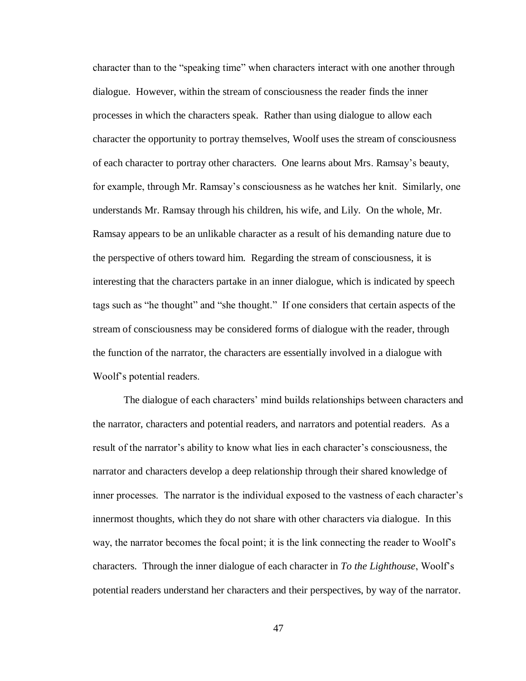character than to the "speaking time" when characters interact with one another through dialogue. However, within the stream of consciousness the reader finds the inner processes in which the characters speak. Rather than using dialogue to allow each character the opportunity to portray themselves, Woolf uses the stream of consciousness of each character to portray other characters. One learns about Mrs. Ramsay's beauty, for example, through Mr. Ramsay's consciousness as he watches her knit. Similarly, one understands Mr. Ramsay through his children, his wife, and Lily. On the whole, Mr. Ramsay appears to be an unlikable character as a result of his demanding nature due to the perspective of others toward him. Regarding the stream of consciousness, it is interesting that the characters partake in an inner dialogue, which is indicated by speech tags such as "he thought" and "she thought." If one considers that certain aspects of the stream of consciousness may be considered forms of dialogue with the reader, through the function of the narrator, the characters are essentially involved in a dialogue with Woolf's potential readers.

The dialogue of each characters' mind builds relationships between characters and the narrator, characters and potential readers, and narrators and potential readers. As a result of the narrator's ability to know what lies in each character's consciousness, the narrator and characters develop a deep relationship through their shared knowledge of inner processes. The narrator is the individual exposed to the vastness of each character's innermost thoughts, which they do not share with other characters via dialogue. In this way, the narrator becomes the focal point; it is the link connecting the reader to Woolf's characters. Through the inner dialogue of each character in *To the Lighthouse*, Woolf's potential readers understand her characters and their perspectives, by way of the narrator.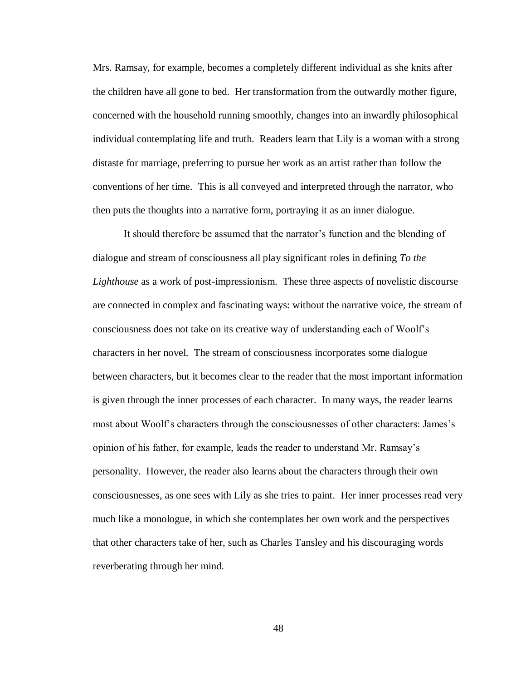Mrs. Ramsay, for example, becomes a completely different individual as she knits after the children have all gone to bed. Her transformation from the outwardly mother figure, concerned with the household running smoothly, changes into an inwardly philosophical individual contemplating life and truth. Readers learn that Lily is a woman with a strong distaste for marriage, preferring to pursue her work as an artist rather than follow the conventions of her time. This is all conveyed and interpreted through the narrator, who then puts the thoughts into a narrative form, portraying it as an inner dialogue.

It should therefore be assumed that the narrator's function and the blending of dialogue and stream of consciousness all play significant roles in defining *To the Lighthouse* as a work of post-impressionism. These three aspects of novelistic discourse are connected in complex and fascinating ways: without the narrative voice, the stream of consciousness does not take on its creative way of understanding each of Woolf's characters in her novel. The stream of consciousness incorporates some dialogue between characters, but it becomes clear to the reader that the most important information is given through the inner processes of each character. In many ways, the reader learns most about Woolf's characters through the consciousnesses of other characters: James's opinion of his father, for example, leads the reader to understand Mr. Ramsay's personality. However, the reader also learns about the characters through their own consciousnesses, as one sees with Lily as she tries to paint. Her inner processes read very much like a monologue, in which she contemplates her own work and the perspectives that other characters take of her, such as Charles Tansley and his discouraging words reverberating through her mind.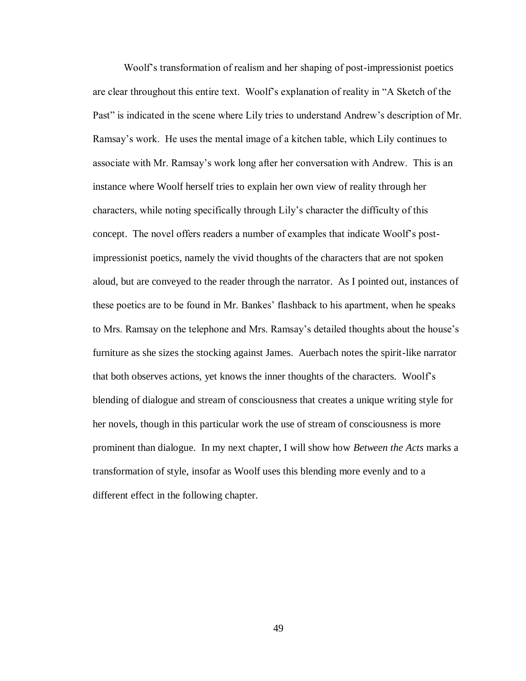Woolf's transformation of realism and her shaping of post-impressionist poetics are clear throughout this entire text. Woolf's explanation of reality in "A Sketch of the Past" is indicated in the scene where Lily tries to understand Andrew's description of Mr. Ramsay's work. He uses the mental image of a kitchen table, which Lily continues to associate with Mr. Ramsay's work long after her conversation with Andrew. This is an instance where Woolf herself tries to explain her own view of reality through her characters, while noting specifically through Lily's character the difficulty of this concept. The novel offers readers a number of examples that indicate Woolf's postimpressionist poetics, namely the vivid thoughts of the characters that are not spoken aloud, but are conveyed to the reader through the narrator. As I pointed out, instances of these poetics are to be found in Mr. Bankes' flashback to his apartment, when he speaks to Mrs. Ramsay on the telephone and Mrs. Ramsay's detailed thoughts about the house's furniture as she sizes the stocking against James. Auerbach notes the spirit-like narrator that both observes actions, yet knows the inner thoughts of the characters. Woolf's blending of dialogue and stream of consciousness that creates a unique writing style for her novels, though in this particular work the use of stream of consciousness is more prominent than dialogue. In my next chapter, I will show how *Between the Acts* marks a transformation of style, insofar as Woolf uses this blending more evenly and to a different effect in the following chapter.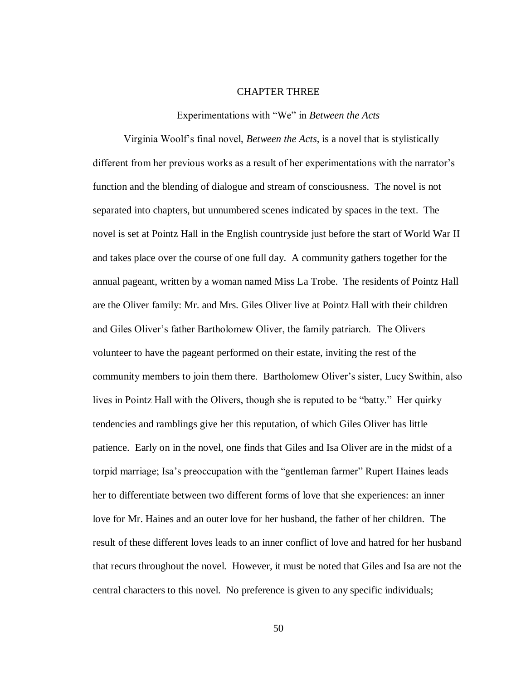## CHAPTER THREE

## Experimentations with "We" in *Between the Acts*

Virginia Woolf's final novel, *Between the Acts*, is a novel that is stylistically different from her previous works as a result of her experimentations with the narrator's function and the blending of dialogue and stream of consciousness. The novel is not separated into chapters, but unnumbered scenes indicated by spaces in the text. The novel is set at Pointz Hall in the English countryside just before the start of World War II and takes place over the course of one full day. A community gathers together for the annual pageant, written by a woman named Miss La Trobe. The residents of Pointz Hall are the Oliver family: Mr. and Mrs. Giles Oliver live at Pointz Hall with their children and Giles Oliver's father Bartholomew Oliver, the family patriarch. The Olivers volunteer to have the pageant performed on their estate, inviting the rest of the community members to join them there. Bartholomew Oliver's sister, Lucy Swithin, also lives in Pointz Hall with the Olivers, though she is reputed to be "batty." Her quirky tendencies and ramblings give her this reputation, of which Giles Oliver has little patience. Early on in the novel, one finds that Giles and Isa Oliver are in the midst of a torpid marriage; Isa's preoccupation with the "gentleman farmer" Rupert Haines leads her to differentiate between two different forms of love that she experiences: an inner love for Mr. Haines and an outer love for her husband, the father of her children. The result of these different loves leads to an inner conflict of love and hatred for her husband that recurs throughout the novel. However, it must be noted that Giles and Isa are not the central characters to this novel. No preference is given to any specific individuals;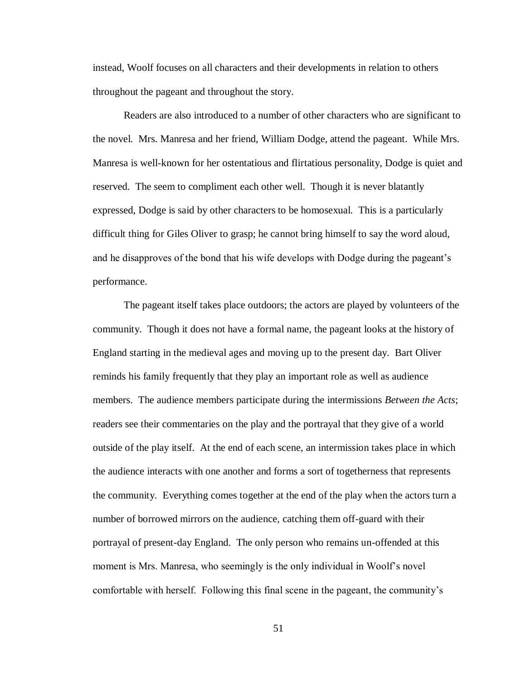instead, Woolf focuses on all characters and their developments in relation to others throughout the pageant and throughout the story.

Readers are also introduced to a number of other characters who are significant to the novel. Mrs. Manresa and her friend, William Dodge, attend the pageant. While Mrs. Manresa is well-known for her ostentatious and flirtatious personality, Dodge is quiet and reserved. The seem to compliment each other well. Though it is never blatantly expressed, Dodge is said by other characters to be homosexual. This is a particularly difficult thing for Giles Oliver to grasp; he cannot bring himself to say the word aloud, and he disapproves of the bond that his wife develops with Dodge during the pageant's performance.

The pageant itself takes place outdoors; the actors are played by volunteers of the community. Though it does not have a formal name, the pageant looks at the history of England starting in the medieval ages and moving up to the present day. Bart Oliver reminds his family frequently that they play an important role as well as audience members. The audience members participate during the intermissions *Between the Acts*; readers see their commentaries on the play and the portrayal that they give of a world outside of the play itself. At the end of each scene, an intermission takes place in which the audience interacts with one another and forms a sort of togetherness that represents the community. Everything comes together at the end of the play when the actors turn a number of borrowed mirrors on the audience, catching them off-guard with their portrayal of present-day England. The only person who remains un-offended at this moment is Mrs. Manresa, who seemingly is the only individual in Woolf's novel comfortable with herself. Following this final scene in the pageant, the community's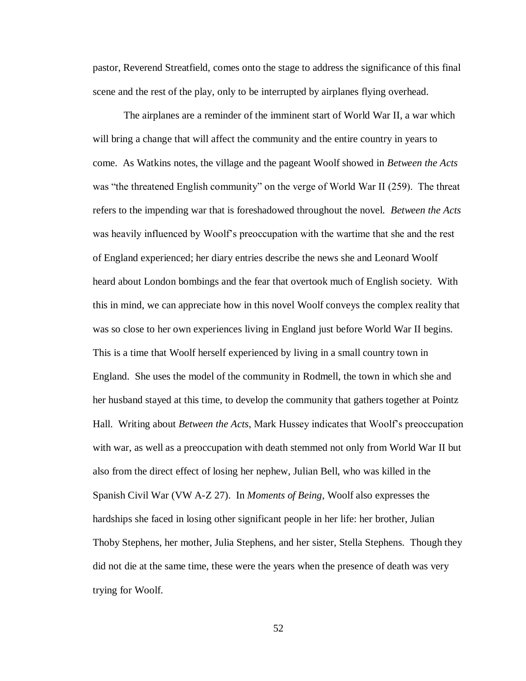pastor, Reverend Streatfield, comes onto the stage to address the significance of this final scene and the rest of the play, only to be interrupted by airplanes flying overhead.

The airplanes are a reminder of the imminent start of World War II, a war which will bring a change that will affect the community and the entire country in years to come. As Watkins notes, the village and the pageant Woolf showed in *Between the Acts* was "the threatened English community" on the verge of World War II (259). The threat refers to the impending war that is foreshadowed throughout the novel. *Between the Acts* was heavily influenced by Woolf's preoccupation with the wartime that she and the rest of England experienced; her diary entries describe the news she and Leonard Woolf heard about London bombings and the fear that overtook much of English society. With this in mind, we can appreciate how in this novel Woolf conveys the complex reality that was so close to her own experiences living in England just before World War II begins. This is a time that Woolf herself experienced by living in a small country town in England. She uses the model of the community in Rodmell, the town in which she and her husband stayed at this time, to develop the community that gathers together at Pointz Hall. Writing about *Between the Acts*, Mark Hussey indicates that Woolf's preoccupation with war, as well as a preoccupation with death stemmed not only from World War II but also from the direct effect of losing her nephew, Julian Bell, who was killed in the Spanish Civil War (VW A-Z 27). In *Moments of Being*, Woolf also expresses the hardships she faced in losing other significant people in her life: her brother, Julian Thoby Stephens, her mother, Julia Stephens, and her sister, Stella Stephens. Though they did not die at the same time, these were the years when the presence of death was very trying for Woolf.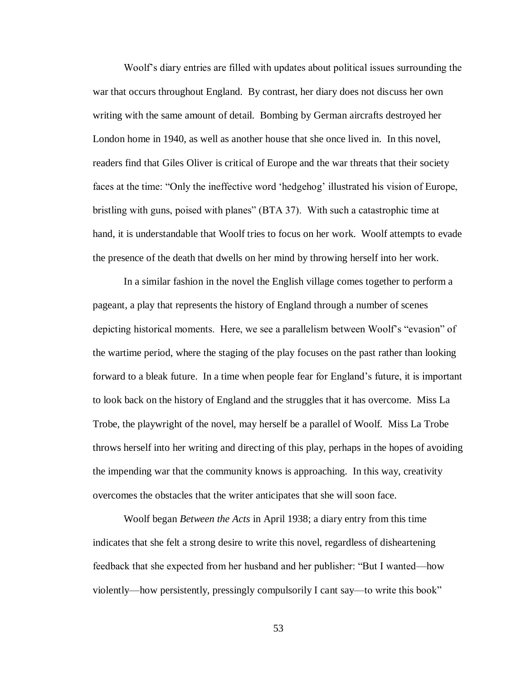Woolf's diary entries are filled with updates about political issues surrounding the war that occurs throughout England. By contrast, her diary does not discuss her own writing with the same amount of detail. Bombing by German aircrafts destroyed her London home in 1940, as well as another house that she once lived in. In this novel, readers find that Giles Oliver is critical of Europe and the war threats that their society faces at the time: "Only the ineffective word 'hedgehog' illustrated his vision of Europe, bristling with guns, poised with planes" (BTA 37). With such a catastrophic time at hand, it is understandable that Woolf tries to focus on her work. Woolf attempts to evade the presence of the death that dwells on her mind by throwing herself into her work.

In a similar fashion in the novel the English village comes together to perform a pageant, a play that represents the history of England through a number of scenes depicting historical moments. Here, we see a parallelism between Woolf's "evasion" of the wartime period, where the staging of the play focuses on the past rather than looking forward to a bleak future. In a time when people fear for England's future, it is important to look back on the history of England and the struggles that it has overcome. Miss La Trobe, the playwright of the novel, may herself be a parallel of Woolf. Miss La Trobe throws herself into her writing and directing of this play, perhaps in the hopes of avoiding the impending war that the community knows is approaching. In this way, creativity overcomes the obstacles that the writer anticipates that she will soon face.

Woolf began *Between the Acts* in April 1938; a diary entry from this time indicates that she felt a strong desire to write this novel, regardless of disheartening feedback that she expected from her husband and her publisher: "But I wanted—how violently—how persistently, pressingly compulsorily I cant say—to write this book"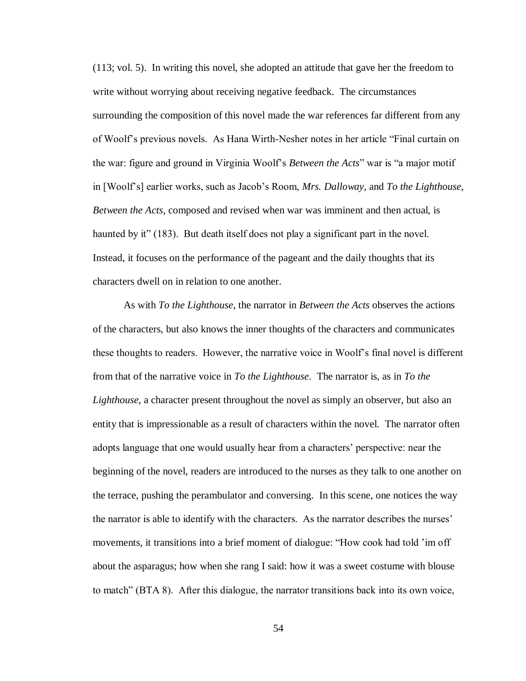(113; vol. 5). In writing this novel, she adopted an attitude that gave her the freedom to write without worrying about receiving negative feedback. The circumstances surrounding the composition of this novel made the war references far different from any of Woolf's previous novels. As Hana Wirth-Nesher notes in her article "Final curtain on the war: figure and ground in Virginia Woolf's *Between the Acts*" war is "a major motif in [Woolf's] earlier works, such as Jacob's Room, *Mrs. Dalloway*, and *To the Lighthouse*, *Between the Acts*, composed and revised when war was imminent and then actual, is haunted by it" (183). But death itself does not play a significant part in the novel. Instead, it focuses on the performance of the pageant and the daily thoughts that its characters dwell on in relation to one another.

As with *To the Lighthouse*, the narrator in *Between the Acts* observes the actions of the characters, but also knows the inner thoughts of the characters and communicates these thoughts to readers. However, the narrative voice in Woolf's final novel is different from that of the narrative voice in *To the Lighthouse*. The narrator is, as in *To the Lighthouse*, a character present throughout the novel as simply an observer, but also an entity that is impressionable as a result of characters within the novel. The narrator often adopts language that one would usually hear from a characters' perspective: near the beginning of the novel, readers are introduced to the nurses as they talk to one another on the terrace, pushing the perambulator and conversing. In this scene, one notices the way the narrator is able to identify with the characters. As the narrator describes the nurses' movements, it transitions into a brief moment of dialogue: "How cook had told 'im off about the asparagus; how when she rang I said: how it was a sweet costume with blouse to match" (BTA 8). After this dialogue, the narrator transitions back into its own voice,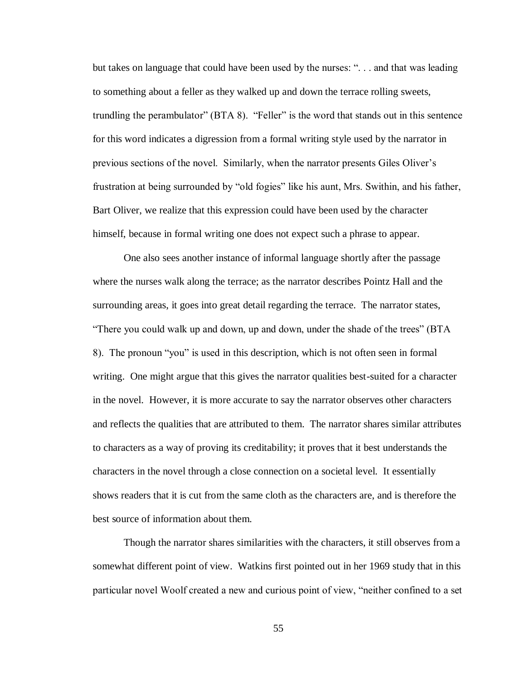but takes on language that could have been used by the nurses: ". . . and that was leading to something about a feller as they walked up and down the terrace rolling sweets, trundling the perambulator" (BTA 8). "Feller" is the word that stands out in this sentence for this word indicates a digression from a formal writing style used by the narrator in previous sections of the novel. Similarly, when the narrator presents Giles Oliver's frustration at being surrounded by "old fogies" like his aunt, Mrs. Swithin, and his father, Bart Oliver, we realize that this expression could have been used by the character himself, because in formal writing one does not expect such a phrase to appear.

One also sees another instance of informal language shortly after the passage where the nurses walk along the terrace; as the narrator describes Pointz Hall and the surrounding areas, it goes into great detail regarding the terrace. The narrator states, "There you could walk up and down, up and down, under the shade of the trees" (BTA 8). The pronoun "you" is used in this description, which is not often seen in formal writing. One might argue that this gives the narrator qualities best-suited for a character in the novel. However, it is more accurate to say the narrator observes other characters and reflects the qualities that are attributed to them. The narrator shares similar attributes to characters as a way of proving its creditability; it proves that it best understands the characters in the novel through a close connection on a societal level. It essentially shows readers that it is cut from the same cloth as the characters are, and is therefore the best source of information about them.

Though the narrator shares similarities with the characters, it still observes from a somewhat different point of view. Watkins first pointed out in her 1969 study that in this particular novel Woolf created a new and curious point of view, "neither confined to a set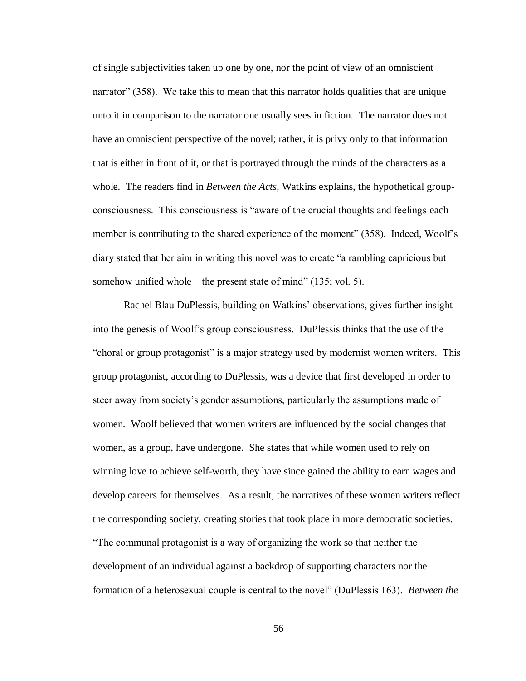of single subjectivities taken up one by one, nor the point of view of an omniscient narrator" (358). We take this to mean that this narrator holds qualities that are unique unto it in comparison to the narrator one usually sees in fiction. The narrator does not have an omniscient perspective of the novel; rather, it is privy only to that information that is either in front of it, or that is portrayed through the minds of the characters as a whole. The readers find in *Between the Acts*, Watkins explains, the hypothetical groupconsciousness. This consciousness is "aware of the crucial thoughts and feelings each member is contributing to the shared experience of the moment" (358). Indeed, Woolf's diary stated that her aim in writing this novel was to create "a rambling capricious but somehow unified whole—the present state of mind" (135; vol. 5).

Rachel Blau DuPlessis, building on Watkins' observations, gives further insight into the genesis of Woolf's group consciousness. DuPlessis thinks that the use of the "choral or group protagonist" is a major strategy used by modernist women writers. This group protagonist, according to DuPlessis, was a device that first developed in order to steer away from society's gender assumptions, particularly the assumptions made of women. Woolf believed that women writers are influenced by the social changes that women, as a group, have undergone. She states that while women used to rely on winning love to achieve self-worth, they have since gained the ability to earn wages and develop careers for themselves. As a result, the narratives of these women writers reflect the corresponding society, creating stories that took place in more democratic societies. "The communal protagonist is a way of organizing the work so that neither the development of an individual against a backdrop of supporting characters nor the formation of a heterosexual couple is central to the novel" (DuPlessis 163). *Between the*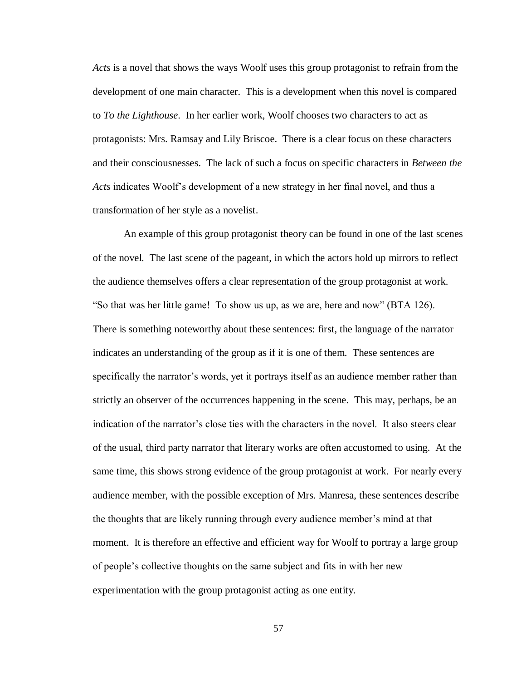*Acts* is a novel that shows the ways Woolf uses this group protagonist to refrain from the development of one main character. This is a development when this novel is compared to *To the Lighthouse*. In her earlier work, Woolf chooses two characters to act as protagonists: Mrs. Ramsay and Lily Briscoe. There is a clear focus on these characters and their consciousnesses. The lack of such a focus on specific characters in *Between the Acts* indicates Woolf's development of a new strategy in her final novel, and thus a transformation of her style as a novelist.

An example of this group protagonist theory can be found in one of the last scenes of the novel. The last scene of the pageant, in which the actors hold up mirrors to reflect the audience themselves offers a clear representation of the group protagonist at work. "So that was her little game! To show us up, as we are, here and now" (BTA 126). There is something noteworthy about these sentences: first, the language of the narrator indicates an understanding of the group as if it is one of them. These sentences are specifically the narrator's words, yet it portrays itself as an audience member rather than strictly an observer of the occurrences happening in the scene. This may, perhaps, be an indication of the narrator's close ties with the characters in the novel. It also steers clear of the usual, third party narrator that literary works are often accustomed to using. At the same time, this shows strong evidence of the group protagonist at work. For nearly every audience member, with the possible exception of Mrs. Manresa, these sentences describe the thoughts that are likely running through every audience member's mind at that moment. It is therefore an effective and efficient way for Woolf to portray a large group of people's collective thoughts on the same subject and fits in with her new experimentation with the group protagonist acting as one entity.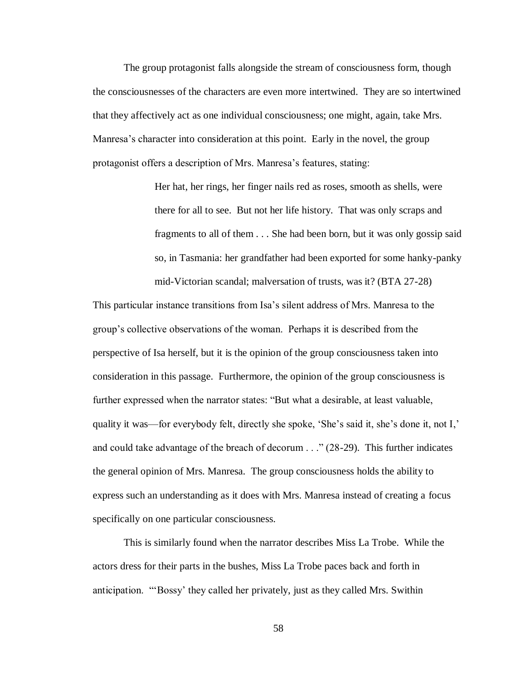The group protagonist falls alongside the stream of consciousness form, though the consciousnesses of the characters are even more intertwined. They are so intertwined that they affectively act as one individual consciousness; one might, again, take Mrs. Manresa's character into consideration at this point. Early in the novel, the group protagonist offers a description of Mrs. Manresa's features, stating:

> Her hat, her rings, her finger nails red as roses, smooth as shells, were there for all to see. But not her life history. That was only scraps and fragments to all of them . . . She had been born, but it was only gossip said so, in Tasmania: her grandfather had been exported for some hanky-panky mid-Victorian scandal; malversation of trusts, was it? (BTA 27-28)

This particular instance transitions from Isa's silent address of Mrs. Manresa to the group's collective observations of the woman. Perhaps it is described from the perspective of Isa herself, but it is the opinion of the group consciousness taken into consideration in this passage. Furthermore, the opinion of the group consciousness is further expressed when the narrator states: "But what a desirable, at least valuable, quality it was—for everybody felt, directly she spoke, 'She's said it, she's done it, not I,' and could take advantage of the breach of decorum . . ." (28-29). This further indicates the general opinion of Mrs. Manresa. The group consciousness holds the ability to express such an understanding as it does with Mrs. Manresa instead of creating a focus specifically on one particular consciousness.

This is similarly found when the narrator describes Miss La Trobe. While the actors dress for their parts in the bushes, Miss La Trobe paces back and forth in anticipation. "'Bossy' they called her privately, just as they called Mrs. Swithin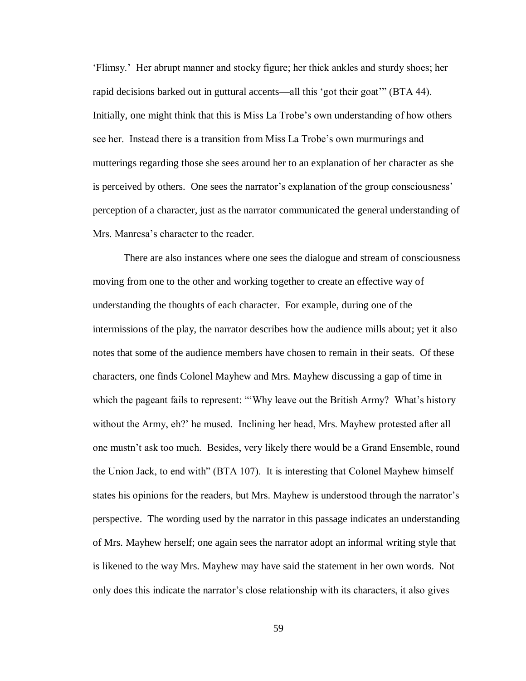'Flimsy.' Her abrupt manner and stocky figure; her thick ankles and sturdy shoes; her rapid decisions barked out in guttural accents—all this 'got their goat'" (BTA 44). Initially, one might think that this is Miss La Trobe's own understanding of how others see her. Instead there is a transition from Miss La Trobe's own murmurings and mutterings regarding those she sees around her to an explanation of her character as she is perceived by others. One sees the narrator's explanation of the group consciousness' perception of a character, just as the narrator communicated the general understanding of Mrs. Manresa's character to the reader.

There are also instances where one sees the dialogue and stream of consciousness moving from one to the other and working together to create an effective way of understanding the thoughts of each character. For example, during one of the intermissions of the play, the narrator describes how the audience mills about; yet it also notes that some of the audience members have chosen to remain in their seats. Of these characters, one finds Colonel Mayhew and Mrs. Mayhew discussing a gap of time in which the pageant fails to represent: ""Why leave out the British Army? What's history without the Army, eh?' he mused. Inclining her head, Mrs. Mayhew protested after all one mustn't ask too much. Besides, very likely there would be a Grand Ensemble, round the Union Jack, to end with" (BTA 107). It is interesting that Colonel Mayhew himself states his opinions for the readers, but Mrs. Mayhew is understood through the narrator's perspective. The wording used by the narrator in this passage indicates an understanding of Mrs. Mayhew herself; one again sees the narrator adopt an informal writing style that is likened to the way Mrs. Mayhew may have said the statement in her own words. Not only does this indicate the narrator's close relationship with its characters, it also gives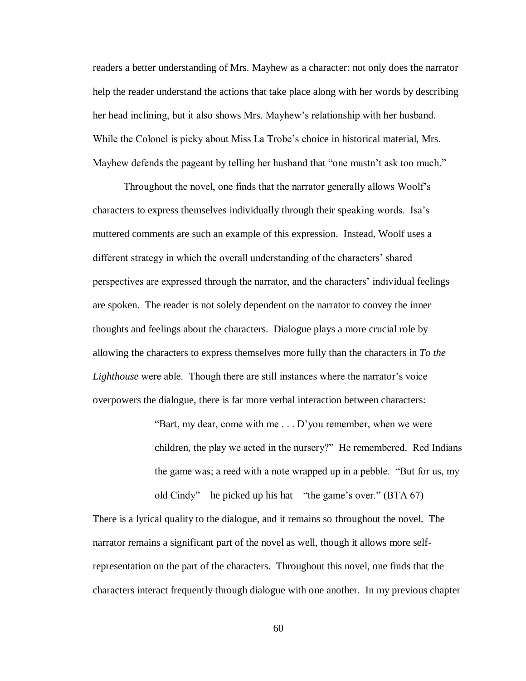readers a better understanding of Mrs. Mayhew as a character: not only does the narrator help the reader understand the actions that take place along with her words by describing her head inclining, but it also shows Mrs. Mayhew's relationship with her husband. While the Colonel is picky about Miss La Trobe's choice in historical material, Mrs. Mayhew defends the pageant by telling her husband that "one mustn't ask too much."

Throughout the novel, one finds that the narrator generally allows Woolf's characters to express themselves individually through their speaking words. Isa's muttered comments are such an example of this expression. Instead, Woolf uses a different strategy in which the overall understanding of the characters' shared perspectives are expressed through the narrator, and the characters' individual feelings are spoken. The reader is not solely dependent on the narrator to convey the inner thoughts and feelings about the characters. Dialogue plays a more crucial role by allowing the characters to express themselves more fully than the characters in *To the Lighthouse* were able. Though there are still instances where the narrator's voice overpowers the dialogue, there is far more verbal interaction between characters:

> "Bart, my dear, come with me . . . D'you remember, when we were children, the play we acted in the nursery?" He remembered. Red Indians the game was; a reed with a note wrapped up in a pebble. "But for us, my old Cindy"—he picked up his hat—"the game's over." (BTA 67)

There is a lyrical quality to the dialogue, and it remains so throughout the novel. The narrator remains a significant part of the novel as well, though it allows more selfrepresentation on the part of the characters. Throughout this novel, one finds that the characters interact frequently through dialogue with one another. In my previous chapter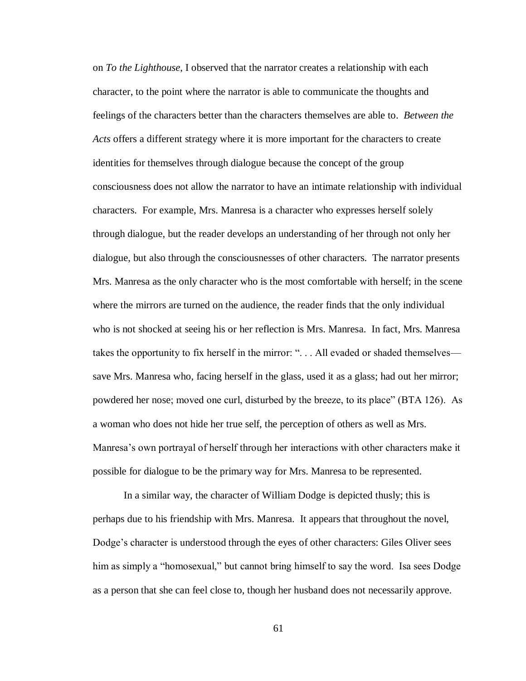on *To the Lighthouse*, I observed that the narrator creates a relationship with each character, to the point where the narrator is able to communicate the thoughts and feelings of the characters better than the characters themselves are able to. *Between the Acts* offers a different strategy where it is more important for the characters to create identities for themselves through dialogue because the concept of the group consciousness does not allow the narrator to have an intimate relationship with individual characters. For example, Mrs. Manresa is a character who expresses herself solely through dialogue, but the reader develops an understanding of her through not only her dialogue, but also through the consciousnesses of other characters. The narrator presents Mrs. Manresa as the only character who is the most comfortable with herself; in the scene where the mirrors are turned on the audience, the reader finds that the only individual who is not shocked at seeing his or her reflection is Mrs. Manresa. In fact, Mrs. Manresa takes the opportunity to fix herself in the mirror: ". . . All evaded or shaded themselves save Mrs. Manresa who, facing herself in the glass, used it as a glass; had out her mirror; powdered her nose; moved one curl, disturbed by the breeze, to its place" (BTA 126). As a woman who does not hide her true self, the perception of others as well as Mrs. Manresa's own portrayal of herself through her interactions with other characters make it possible for dialogue to be the primary way for Mrs. Manresa to be represented.

In a similar way, the character of William Dodge is depicted thusly; this is perhaps due to his friendship with Mrs. Manresa. It appears that throughout the novel, Dodge's character is understood through the eyes of other characters: Giles Oliver sees him as simply a "homosexual," but cannot bring himself to say the word. Isa sees Dodge as a person that she can feel close to, though her husband does not necessarily approve.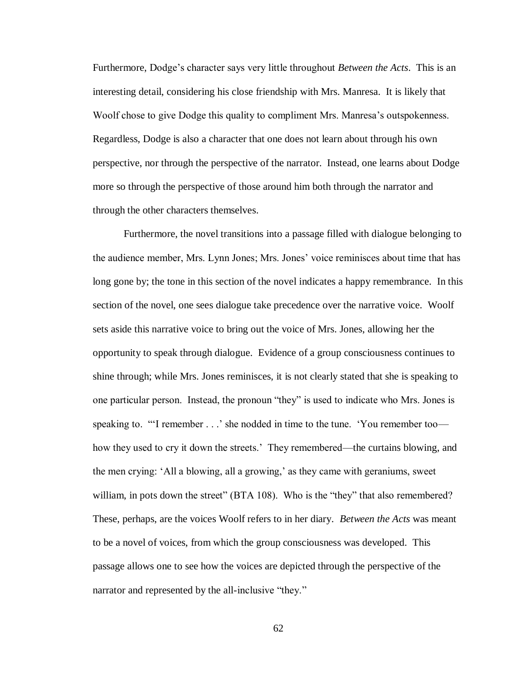Furthermore, Dodge's character says very little throughout *Between the Acts*. This is an interesting detail, considering his close friendship with Mrs. Manresa. It is likely that Woolf chose to give Dodge this quality to compliment Mrs. Manresa's outspokenness. Regardless, Dodge is also a character that one does not learn about through his own perspective, nor through the perspective of the narrator. Instead, one learns about Dodge more so through the perspective of those around him both through the narrator and through the other characters themselves.

Furthermore, the novel transitions into a passage filled with dialogue belonging to the audience member, Mrs. Lynn Jones; Mrs. Jones' voice reminisces about time that has long gone by; the tone in this section of the novel indicates a happy remembrance. In this section of the novel, one sees dialogue take precedence over the narrative voice. Woolf sets aside this narrative voice to bring out the voice of Mrs. Jones, allowing her the opportunity to speak through dialogue. Evidence of a group consciousness continues to shine through; while Mrs. Jones reminisces, it is not clearly stated that she is speaking to one particular person. Instead, the pronoun "they" is used to indicate who Mrs. Jones is speaking to. "'I remember . . .' she nodded in time to the tune. 'You remember too how they used to cry it down the streets.' They remembered—the curtains blowing, and the men crying: 'All a blowing, all a growing,' as they came with geraniums, sweet william, in pots down the street" (BTA 108). Who is the "they" that also remembered? These, perhaps, are the voices Woolf refers to in her diary. *Between the Acts* was meant to be a novel of voices, from which the group consciousness was developed. This passage allows one to see how the voices are depicted through the perspective of the narrator and represented by the all-inclusive "they."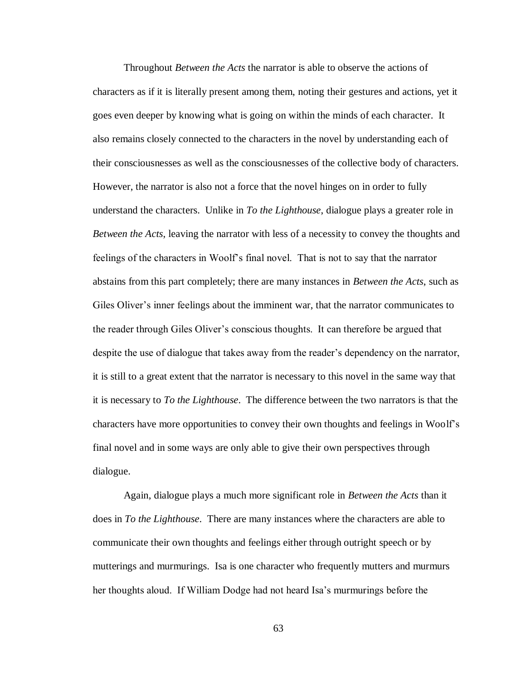Throughout *Between the Acts* the narrator is able to observe the actions of characters as if it is literally present among them, noting their gestures and actions, yet it goes even deeper by knowing what is going on within the minds of each character. It also remains closely connected to the characters in the novel by understanding each of their consciousnesses as well as the consciousnesses of the collective body of characters. However, the narrator is also not a force that the novel hinges on in order to fully understand the characters. Unlike in *To the Lighthouse*, dialogue plays a greater role in *Between the Acts*, leaving the narrator with less of a necessity to convey the thoughts and feelings of the characters in Woolf's final novel. That is not to say that the narrator abstains from this part completely; there are many instances in *Between the Acts*, such as Giles Oliver's inner feelings about the imminent war, that the narrator communicates to the reader through Giles Oliver's conscious thoughts. It can therefore be argued that despite the use of dialogue that takes away from the reader's dependency on the narrator, it is still to a great extent that the narrator is necessary to this novel in the same way that it is necessary to *To the Lighthouse*. The difference between the two narrators is that the characters have more opportunities to convey their own thoughts and feelings in Woolf's final novel and in some ways are only able to give their own perspectives through dialogue.

Again, dialogue plays a much more significant role in *Between the Acts* than it does in *To the Lighthouse*. There are many instances where the characters are able to communicate their own thoughts and feelings either through outright speech or by mutterings and murmurings. Isa is one character who frequently mutters and murmurs her thoughts aloud. If William Dodge had not heard Isa's murmurings before the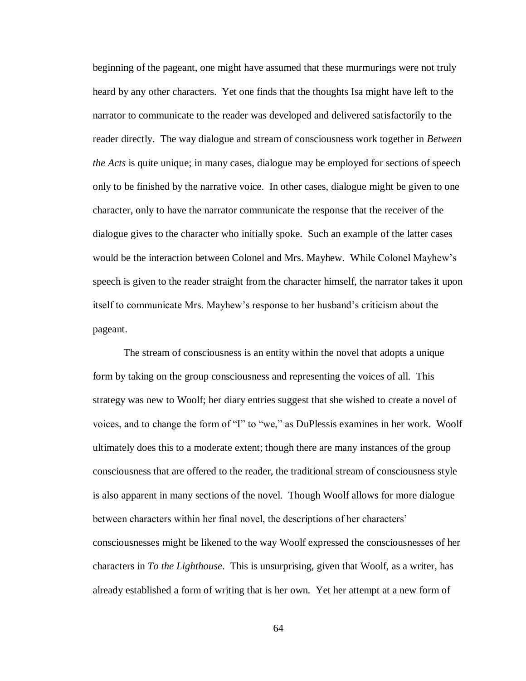beginning of the pageant, one might have assumed that these murmurings were not truly heard by any other characters. Yet one finds that the thoughts Isa might have left to the narrator to communicate to the reader was developed and delivered satisfactorily to the reader directly. The way dialogue and stream of consciousness work together in *Between the Acts* is quite unique; in many cases, dialogue may be employed for sections of speech only to be finished by the narrative voice. In other cases, dialogue might be given to one character, only to have the narrator communicate the response that the receiver of the dialogue gives to the character who initially spoke. Such an example of the latter cases would be the interaction between Colonel and Mrs. Mayhew. While Colonel Mayhew's speech is given to the reader straight from the character himself, the narrator takes it upon itself to communicate Mrs. Mayhew's response to her husband's criticism about the pageant.

The stream of consciousness is an entity within the novel that adopts a unique form by taking on the group consciousness and representing the voices of all. This strategy was new to Woolf; her diary entries suggest that she wished to create a novel of voices, and to change the form of "I" to "we," as DuPlessis examines in her work. Woolf ultimately does this to a moderate extent; though there are many instances of the group consciousness that are offered to the reader, the traditional stream of consciousness style is also apparent in many sections of the novel. Though Woolf allows for more dialogue between characters within her final novel, the descriptions of her characters' consciousnesses might be likened to the way Woolf expressed the consciousnesses of her characters in *To the Lighthouse*. This is unsurprising, given that Woolf, as a writer, has already established a form of writing that is her own. Yet her attempt at a new form of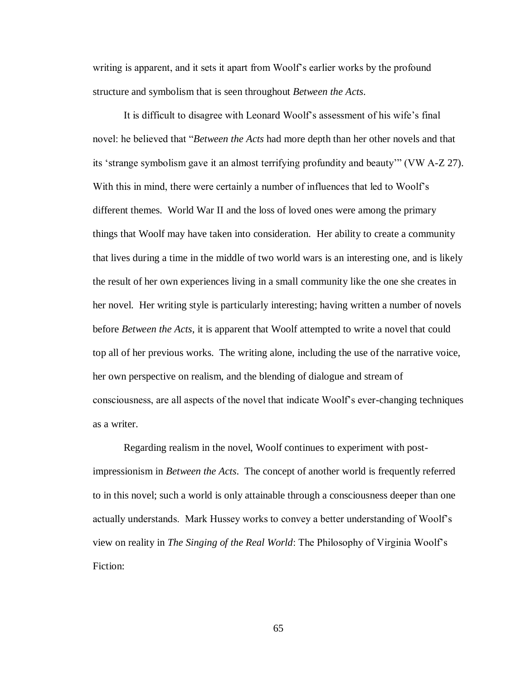writing is apparent, and it sets it apart from Woolf's earlier works by the profound structure and symbolism that is seen throughout *Between the Acts*.

It is difficult to disagree with Leonard Woolf's assessment of his wife's final novel: he believed that "*Between the Acts* had more depth than her other novels and that its 'strange symbolism gave it an almost terrifying profundity and beauty'" (VW A-Z 27). With this in mind, there were certainly a number of influences that led to Woolf's different themes. World War II and the loss of loved ones were among the primary things that Woolf may have taken into consideration. Her ability to create a community that lives during a time in the middle of two world wars is an interesting one, and is likely the result of her own experiences living in a small community like the one she creates in her novel. Her writing style is particularly interesting; having written a number of novels before *Between the Acts*, it is apparent that Woolf attempted to write a novel that could top all of her previous works. The writing alone, including the use of the narrative voice, her own perspective on realism, and the blending of dialogue and stream of consciousness, are all aspects of the novel that indicate Woolf's ever-changing techniques as a writer.

Regarding realism in the novel, Woolf continues to experiment with postimpressionism in *Between the Acts*. The concept of another world is frequently referred to in this novel; such a world is only attainable through a consciousness deeper than one actually understands. Mark Hussey works to convey a better understanding of Woolf's view on reality in *The Singing of the Real World*: The Philosophy of Virginia Woolf's Fiction: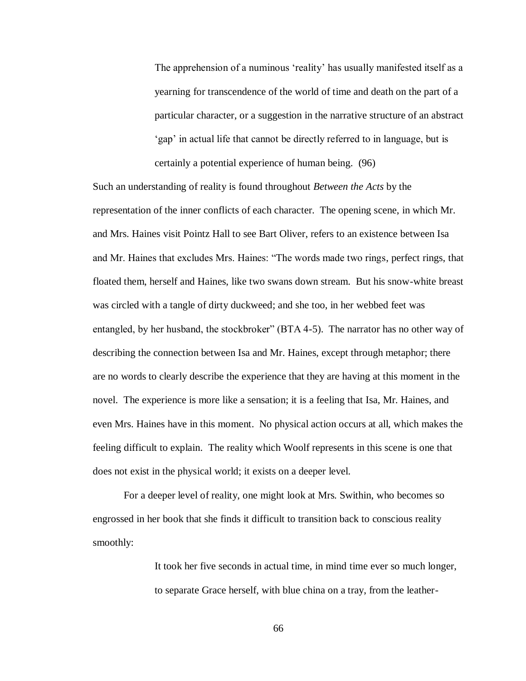The apprehension of a numinous 'reality' has usually manifested itself as a yearning for transcendence of the world of time and death on the part of a particular character, or a suggestion in the narrative structure of an abstract 'gap' in actual life that cannot be directly referred to in language, but is certainly a potential experience of human being. (96)

Such an understanding of reality is found throughout *Between the Acts* by the representation of the inner conflicts of each character. The opening scene, in which Mr. and Mrs. Haines visit Pointz Hall to see Bart Oliver, refers to an existence between Isa and Mr. Haines that excludes Mrs. Haines: "The words made two rings, perfect rings, that floated them, herself and Haines, like two swans down stream. But his snow-white breast was circled with a tangle of dirty duckweed; and she too, in her webbed feet was entangled, by her husband, the stockbroker" (BTA 4-5). The narrator has no other way of describing the connection between Isa and Mr. Haines, except through metaphor; there are no words to clearly describe the experience that they are having at this moment in the novel. The experience is more like a sensation; it is a feeling that Isa, Mr. Haines, and even Mrs. Haines have in this moment. No physical action occurs at all, which makes the feeling difficult to explain. The reality which Woolf represents in this scene is one that does not exist in the physical world; it exists on a deeper level.

For a deeper level of reality, one might look at Mrs. Swithin, who becomes so engrossed in her book that she finds it difficult to transition back to conscious reality smoothly:

> It took her five seconds in actual time, in mind time ever so much longer, to separate Grace herself, with blue china on a tray, from the leather-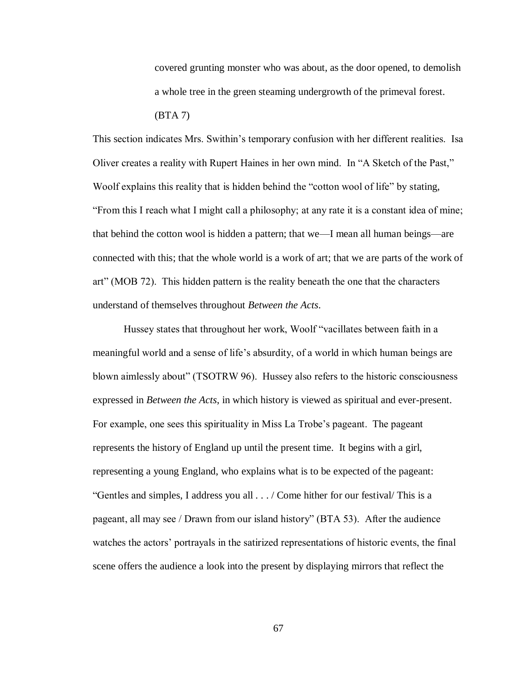covered grunting monster who was about, as the door opened, to demolish a whole tree in the green steaming undergrowth of the primeval forest. (BTA 7)

This section indicates Mrs. Swithin's temporary confusion with her different realities. Isa Oliver creates a reality with Rupert Haines in her own mind. In "A Sketch of the Past," Woolf explains this reality that is hidden behind the "cotton wool of life" by stating, "From this I reach what I might call a philosophy; at any rate it is a constant idea of mine; that behind the cotton wool is hidden a pattern; that we—I mean all human beings—are connected with this; that the whole world is a work of art; that we are parts of the work of art" (MOB 72). This hidden pattern is the reality beneath the one that the characters understand of themselves throughout *Between the Acts*.

Hussey states that throughout her work, Woolf "vacillates between faith in a meaningful world and a sense of life's absurdity, of a world in which human beings are blown aimlessly about" (TSOTRW 96). Hussey also refers to the historic consciousness expressed in *Between the Acts*, in which history is viewed as spiritual and ever-present. For example, one sees this spirituality in Miss La Trobe's pageant. The pageant represents the history of England up until the present time. It begins with a girl, representing a young England, who explains what is to be expected of the pageant: "Gentles and simples, I address you all . . . / Come hither for our festival/ This is a pageant, all may see / Drawn from our island history" (BTA 53). After the audience watches the actors' portrayals in the satirized representations of historic events, the final scene offers the audience a look into the present by displaying mirrors that reflect the

67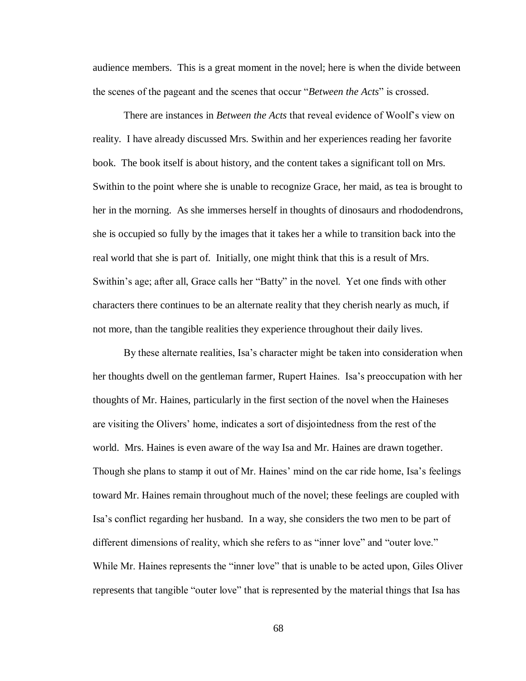audience members. This is a great moment in the novel; here is when the divide between the scenes of the pageant and the scenes that occur "*Between the Acts*" is crossed.

There are instances in *Between the Acts* that reveal evidence of Woolf's view on reality. I have already discussed Mrs. Swithin and her experiences reading her favorite book. The book itself is about history, and the content takes a significant toll on Mrs. Swithin to the point where she is unable to recognize Grace, her maid, as tea is brought to her in the morning. As she immerses herself in thoughts of dinosaurs and rhododendrons, she is occupied so fully by the images that it takes her a while to transition back into the real world that she is part of. Initially, one might think that this is a result of Mrs. Swithin's age; after all, Grace calls her "Batty" in the novel. Yet one finds with other characters there continues to be an alternate reality that they cherish nearly as much, if not more, than the tangible realities they experience throughout their daily lives.

By these alternate realities, Isa's character might be taken into consideration when her thoughts dwell on the gentleman farmer, Rupert Haines. Isa's preoccupation with her thoughts of Mr. Haines, particularly in the first section of the novel when the Haineses are visiting the Olivers' home, indicates a sort of disjointedness from the rest of the world. Mrs. Haines is even aware of the way Isa and Mr. Haines are drawn together. Though she plans to stamp it out of Mr. Haines' mind on the car ride home, Isa's feelings toward Mr. Haines remain throughout much of the novel; these feelings are coupled with Isa's conflict regarding her husband. In a way, she considers the two men to be part of different dimensions of reality, which she refers to as "inner love" and "outer love." While Mr. Haines represents the "inner love" that is unable to be acted upon, Giles Oliver represents that tangible "outer love" that is represented by the material things that Isa has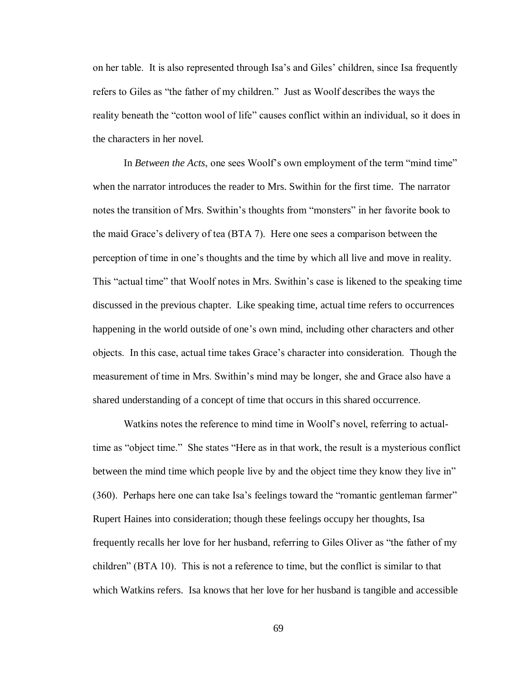on her table. It is also represented through Isa's and Giles' children, since Isa frequently refers to Giles as "the father of my children." Just as Woolf describes the ways the reality beneath the "cotton wool of life" causes conflict within an individual, so it does in the characters in her novel.

In *Between the Acts*, one sees Woolf's own employment of the term "mind time" when the narrator introduces the reader to Mrs. Swithin for the first time. The narrator notes the transition of Mrs. Swithin's thoughts from "monsters" in her favorite book to the maid Grace's delivery of tea (BTA 7). Here one sees a comparison between the perception of time in one's thoughts and the time by which all live and move in reality. This "actual time" that Woolf notes in Mrs. Swithin's case is likened to the speaking time discussed in the previous chapter. Like speaking time, actual time refers to occurrences happening in the world outside of one's own mind, including other characters and other objects. In this case, actual time takes Grace's character into consideration. Though the measurement of time in Mrs. Swithin's mind may be longer, she and Grace also have a shared understanding of a concept of time that occurs in this shared occurrence.

Watkins notes the reference to mind time in Woolf's novel, referring to actualtime as "object time." She states "Here as in that work, the result is a mysterious conflict between the mind time which people live by and the object time they know they live in" (360). Perhaps here one can take Isa's feelings toward the "romantic gentleman farmer" Rupert Haines into consideration; though these feelings occupy her thoughts, Isa frequently recalls her love for her husband, referring to Giles Oliver as "the father of my children" (BTA 10). This is not a reference to time, but the conflict is similar to that which Watkins refers. Isa knows that her love for her husband is tangible and accessible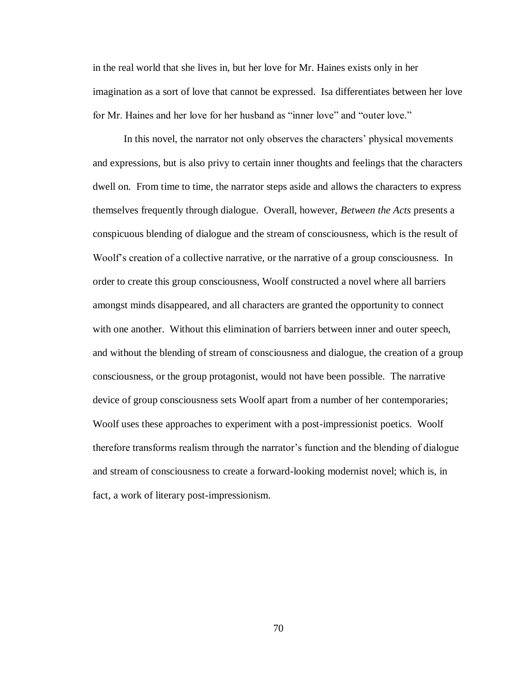in the real world that she lives in, but her love for Mr. Haines exists only in her imagination as a sort of love that cannot be expressed. Isa differentiates between her love for Mr. Haines and her love for her husband as "inner love" and "outer love."

In this novel, the narrator not only observes the characters' physical movements and expressions, but is also privy to certain inner thoughts and feelings that the characters dwell on. From time to time, the narrator steps aside and allows the characters to express themselves frequently through dialogue. Overall, however, *Between the Acts* presents a conspicuous blending of dialogue and the stream of consciousness, which is the result of Woolf's creation of a collective narrative, or the narrative of a group consciousness. In order to create this group consciousness, Woolf constructed a novel where all barriers amongst minds disappeared, and all characters are granted the opportunity to connect with one another. Without this elimination of barriers between inner and outer speech, and without the blending of stream of consciousness and dialogue, the creation of a group consciousness, or the group protagonist, would not have been possible. The narrative device of group consciousness sets Woolf apart from a number of her contemporaries; Woolf uses these approaches to experiment with a post-impressionist poetics. Woolf therefore transforms realism through the narrator's function and the blending of dialogue and stream of consciousness to create a forward-looking modernist novel; which is, in fact, a work of literary post-impressionism.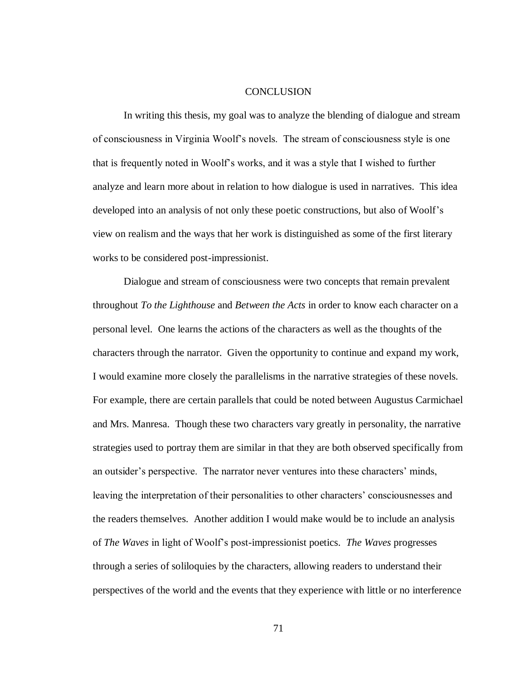## CONCLUSION

In writing this thesis, my goal was to analyze the blending of dialogue and stream of consciousness in Virginia Woolf's novels. The stream of consciousness style is one that is frequently noted in Woolf's works, and it was a style that I wished to further analyze and learn more about in relation to how dialogue is used in narratives. This idea developed into an analysis of not only these poetic constructions, but also of Woolf's view on realism and the ways that her work is distinguished as some of the first literary works to be considered post-impressionist.

Dialogue and stream of consciousness were two concepts that remain prevalent throughout *To the Lighthouse* and *Between the Acts* in order to know each character on a personal level. One learns the actions of the characters as well as the thoughts of the characters through the narrator. Given the opportunity to continue and expand my work, I would examine more closely the parallelisms in the narrative strategies of these novels. For example, there are certain parallels that could be noted between Augustus Carmichael and Mrs. Manresa. Though these two characters vary greatly in personality, the narrative strategies used to portray them are similar in that they are both observed specifically from an outsider's perspective. The narrator never ventures into these characters' minds, leaving the interpretation of their personalities to other characters' consciousnesses and the readers themselves. Another addition I would make would be to include an analysis of *The Waves* in light of Woolf's post-impressionist poetics. *The Waves* progresses through a series of soliloquies by the characters, allowing readers to understand their perspectives of the world and the events that they experience with little or no interference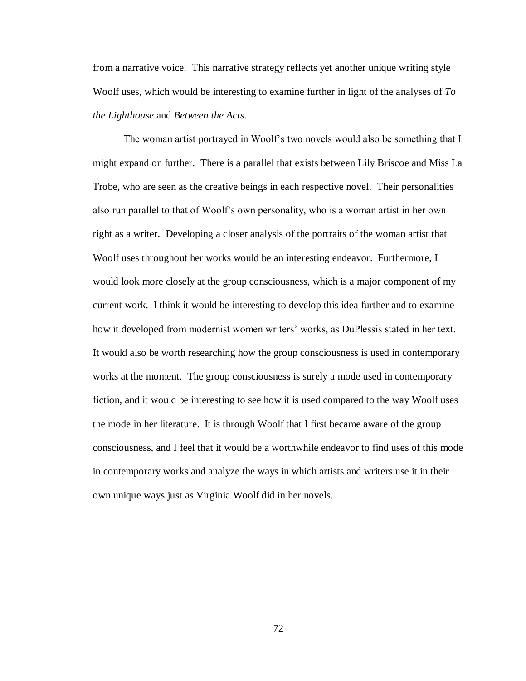from a narrative voice. This narrative strategy reflects yet another unique writing style Woolf uses, which would be interesting to examine further in light of the analyses of *To the Lighthouse* and *Between the Acts*.

The woman artist portrayed in Woolf's two novels would also be something that I might expand on further. There is a parallel that exists between Lily Briscoe and Miss La Trobe, who are seen as the creative beings in each respective novel. Their personalities also run parallel to that of Woolf's own personality, who is a woman artist in her own right as a writer. Developing a closer analysis of the portraits of the woman artist that Woolf uses throughout her works would be an interesting endeavor. Furthermore, I would look more closely at the group consciousness, which is a major component of my current work. I think it would be interesting to develop this idea further and to examine how it developed from modernist women writers' works, as DuPlessis stated in her text. It would also be worth researching how the group consciousness is used in contemporary works at the moment. The group consciousness is surely a mode used in contemporary fiction, and it would be interesting to see how it is used compared to the way Woolf uses the mode in her literature. It is through Woolf that I first became aware of the group consciousness, and I feel that it would be a worthwhile endeavor to find uses of this mode in contemporary works and analyze the ways in which artists and writers use it in their own unique ways just as Virginia Woolf did in her novels.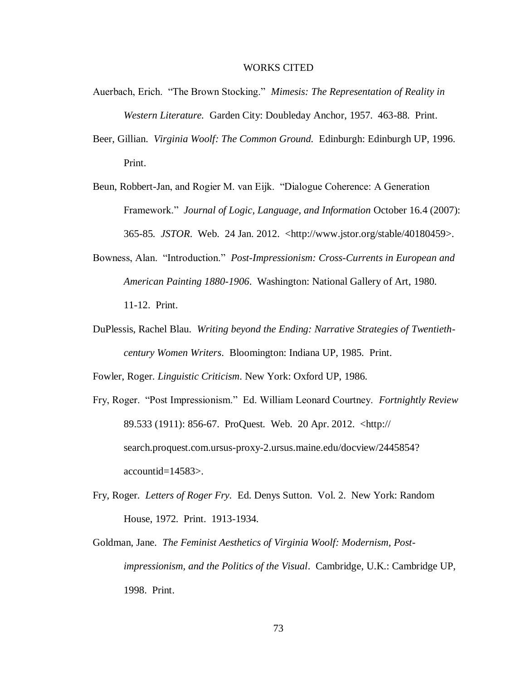## WORKS CITED

- Auerbach, Erich. "The Brown Stocking." *Mimesis: The Representation of Reality in Western Literature.* Garden City: Doubleday Anchor, 1957. 463-88. Print.
- Beer, Gillian. *Virginia Woolf: The Common Ground.* Edinburgh: Edinburgh UP, 1996. Print.
- Beun, Robbert-Jan, and Rogier M. van Eijk. "Dialogue Coherence: A Generation Framework." *Journal of Logic, Language, and Information* October 16.4 (2007): 365-85*. JSTOR*. Web. 24 Jan. 2012. [<http://www.jstor.org/stable/40180459>](http://www.jstor.org/stable/40180459).
- Bowness, Alan. "Introduction." *Post-Impressionism: Cross-Currents in European and American Painting 1880-1906*. Washington: National Gallery of Art, 1980. 11-12. Print.
- DuPlessis, Rachel Blau. *Writing beyond the Ending: Narrative Strategies of Twentiethcentury Women Writers*. Bloomington: Indiana UP, 1985. Print.

Fowler, Roger. *Linguistic Criticism*. New York: Oxford UP, 1986.

- Fry, Roger. "Post Impressionism." Ed. William Leonard Courtney. *Fortnightly Review* 89.533 (1911): 856-67. ProQuest*.* Web. 20 Apr. 2012. [<http://](http://search.proquest.com.ursus-proxy-2.ursus.maine.edu/docview/2445854?accountid=14583) [search.proquest.com.ursus-proxy-2.ursus.maine.edu/docview/2445854?](http://search.proquest.com.ursus-proxy-2.ursus.maine.edu/docview/2445854?accountid=14583) [accountid=14583>](http://search.proquest.com.ursus-proxy-2.ursus.maine.edu/docview/2445854?accountid=14583).
- Fry, Roger*. Letters of Roger Fry.* Ed. Denys Sutton. Vol. 2. New York: Random House, 1972. Print. 1913-1934.
- Goldman, Jane. *The Feminist Aesthetics of Virginia Woolf: Modernism, Postimpressionism, and the Politics of the Visual*. Cambridge, U.K.: Cambridge UP, 1998. Print.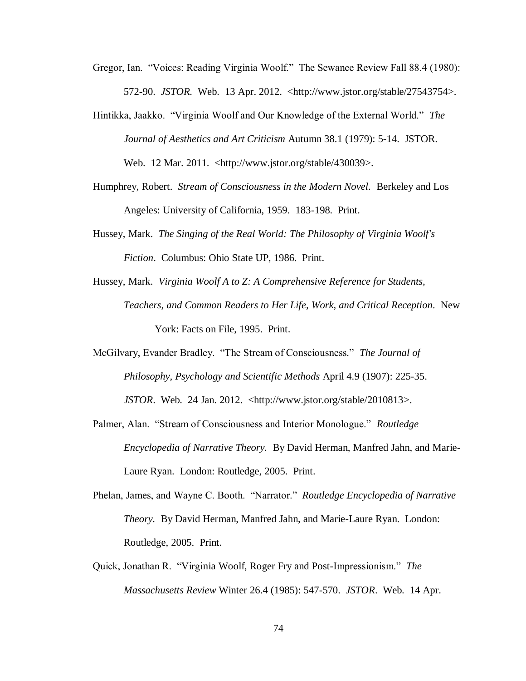- Gregor, Ian. "Voices: Reading Virginia Woolf." The Sewanee Review Fall 88.4 (1980): 572-90. *JSTOR.* Web. 13 Apr. 2012. [<http://www.jstor.org/stable/27543754>](http://www.jstor.org/stable/27543754).
- Hintikka, Jaakko. "Virginia Woolf and Our Knowledge of the External World." *The Journal of Aesthetics and Art Criticism* Autumn 38.1 (1979): 5-14. JSTOR. Web. 12 Mar. 2011. [<http://www.jstor.org/stable/430039>](http://www.jstor.org/stable/430039).
- Humphrey, Robert. *Stream of Consciousness in the Modern Novel.* Berkeley and Los Angeles: University of California, 1959. 183-198. Print.
- Hussey, Mark. *The Singing of the Real World: The Philosophy of Virginia Woolf's Fiction*. Columbus: Ohio State UP, 1986. Print.
- Hussey, Mark. *Virginia Woolf A to Z: A Comprehensive Reference for Students, Teachers, and Common Readers to Her Life, Work, and Critical Reception.* New York: Facts on File, 1995. Print.
- McGilvary, Evander Bradley. "The Stream of Consciousness." *The Journal of Philosophy, Psychology and Scientific Methods* April 4.9 (1907): 225-35. *JSTOR*. Web. 24 Jan. 2012. [<http://www.jstor.org/stable/2010813>](http://www.jstor.org/stable/2010813).
- Palmer, Alan. "Stream of Consciousness and Interior Monologue." *Routledge Encyclopedia of Narrative Theory.* By David Herman, Manfred Jahn, and Marie-Laure Ryan. London: Routledge, 2005. Print.
- Phelan, James, and Wayne C. Booth. "Narrator." *Routledge Encyclopedia of Narrative Theory.* By David Herman, Manfred Jahn, and Marie-Laure Ryan. London: Routledge, 2005. Print.
- Quick, Jonathan R. "Virginia Woolf, Roger Fry and Post-Impressionism." *The Massachusetts Review* Winter 26.4 (1985): 547-570. *JSTOR*. Web. 14 Apr.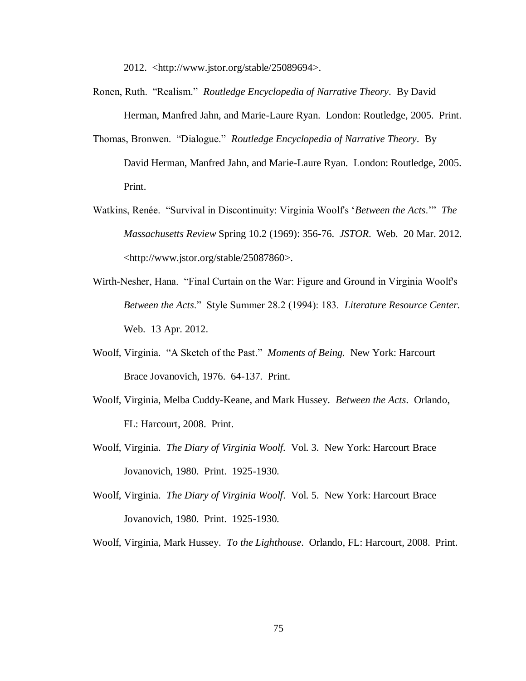2012. [<http://www.jstor.org/stable/25089694>](http://www.jstor.org/stable/25089694).

- Ronen, Ruth. "Realism." *Routledge Encyclopedia of Narrative Theory*. By David Herman, Manfred Jahn, and Marie-Laure Ryan. London: Routledge, 2005. Print.
- Thomas, Bronwen. "Dialogue." *Routledge Encyclopedia of Narrative Theory*. By David Herman, Manfred Jahn, and Marie-Laure Ryan. London: Routledge, 2005. Print.
- Watkins, Renée. "Survival in Discontinuity: Virginia Woolf's '*Between the Acts*.'" *The Massachusetts Review* Spring 10.2 (1969): 356-76. *JSTOR*. Web. 20 Mar. 2012. [<http://www.jstor.org/stable/25087860>](http://www.jstor.org/stable/25087860).
- Wirth-Nesher, Hana. "Final Curtain on the War: Figure and Ground in Virginia Woolf's *Between the Acts*." Style Summer 28.2 (1994): 183. *Literature Resource Center.* Web. 13 Apr. 2012.
- Woolf, Virginia. "A Sketch of the Past." *Moments of Being.* New York: Harcourt Brace Jovanovich, 1976. 64-137. Print.
- Woolf, Virginia, Melba Cuddy-Keane, and Mark Hussey. *Between the Acts*. Orlando, FL: Harcourt, 2008. Print.
- Woolf, Virginia. *The Diary of Virginia Woolf.* Vol. 3. New York: Harcourt Brace Jovanovich, 1980. Print. 1925-1930.
- Woolf, Virginia. *The Diary of Virginia Woolf.* Vol. 5. New York: Harcourt Brace Jovanovich, 1980. Print. 1925-1930.

Woolf, Virginia, Mark Hussey. *To the Lighthouse*. Orlando, FL: Harcourt, 2008. Print.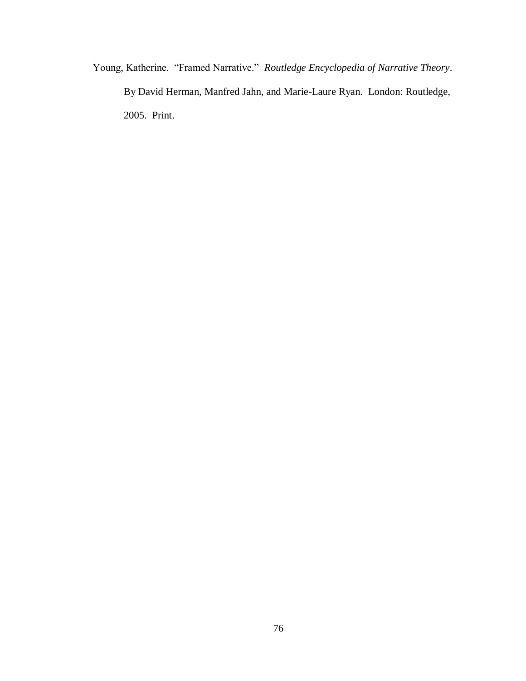Young, Katherine. "Framed Narrative." *Routledge Encyclopedia of Narrative Theory*. By David Herman, Manfred Jahn, and Marie-Laure Ryan. London: Routledge, 2005. Print.